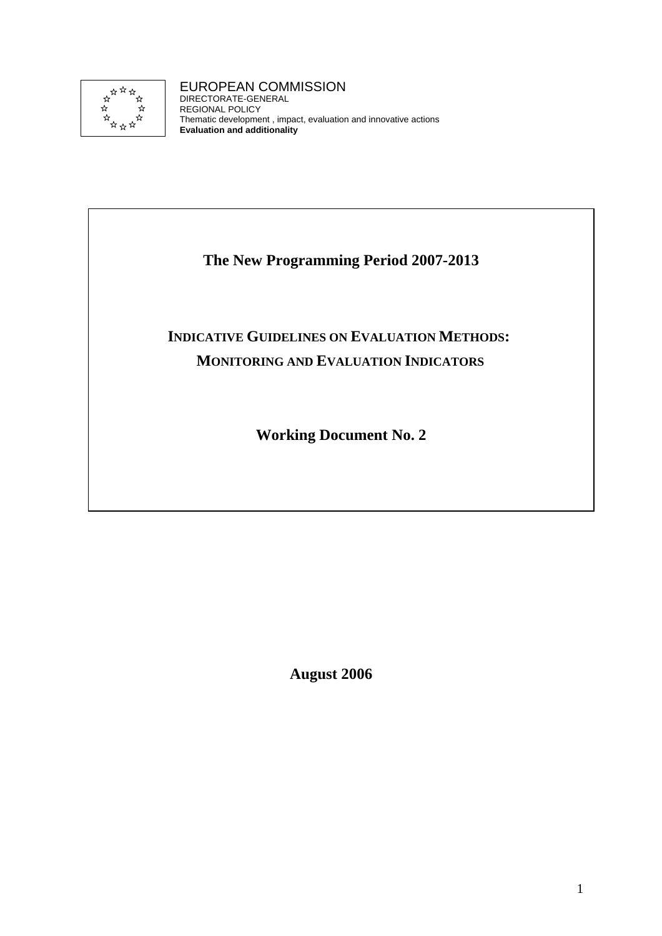

# EUROPEAN COMMISSION

DIRECTORATE-GENERAL REGIONAL POLICY Thematic development , impact, evaluation and innovative actions **Evaluation and additionality**

# **The New Programming Period 2007-2013**

# **INDICATIVE GUIDELINES ON EVALUATION METHODS: MONITORING AND EVALUATION INDICATORS**

**Working Document No. 2** 

**August 2006**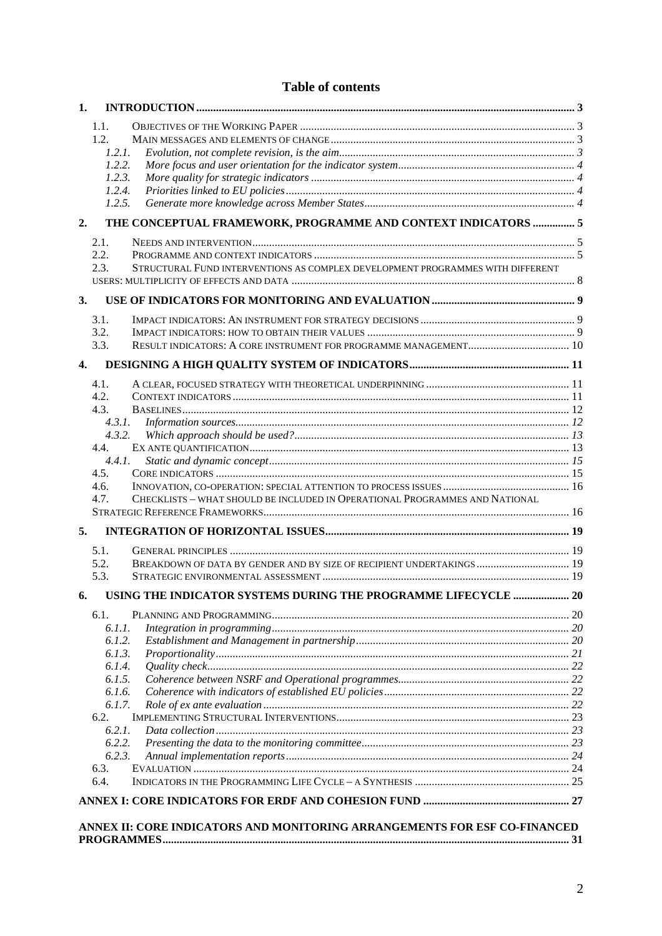# **Table of contents**

| 1.               |                                                                                             |  |  |  |  |  |
|------------------|---------------------------------------------------------------------------------------------|--|--|--|--|--|
|                  | 1.1.                                                                                        |  |  |  |  |  |
|                  | 1.2.                                                                                        |  |  |  |  |  |
|                  | 1.2.1.                                                                                      |  |  |  |  |  |
|                  | 1.2.2.                                                                                      |  |  |  |  |  |
|                  | 1.2.3.                                                                                      |  |  |  |  |  |
|                  | 1.2.4.                                                                                      |  |  |  |  |  |
|                  | 1.2.5.                                                                                      |  |  |  |  |  |
| 2.               | THE CONCEPTUAL FRAMEWORK, PROGRAMME AND CONTEXT INDICATORS  5                               |  |  |  |  |  |
|                  | 2.1.                                                                                        |  |  |  |  |  |
|                  | 2.2.                                                                                        |  |  |  |  |  |
|                  | STRUCTURAL FUND INTERVENTIONS AS COMPLEX DEVELOPMENT PROGRAMMES WITH DIFFERENT<br>2.3.      |  |  |  |  |  |
|                  |                                                                                             |  |  |  |  |  |
| 3.               |                                                                                             |  |  |  |  |  |
|                  | 3.1.                                                                                        |  |  |  |  |  |
|                  | 3.2.                                                                                        |  |  |  |  |  |
|                  | 3.3.                                                                                        |  |  |  |  |  |
| $\overline{4}$ . |                                                                                             |  |  |  |  |  |
|                  | 4.1.                                                                                        |  |  |  |  |  |
|                  | 4.2.                                                                                        |  |  |  |  |  |
|                  | 4.3.                                                                                        |  |  |  |  |  |
|                  | 4.3.1.                                                                                      |  |  |  |  |  |
|                  | 4.3.2.                                                                                      |  |  |  |  |  |
|                  | 4.4.                                                                                        |  |  |  |  |  |
|                  | 4.4.1.                                                                                      |  |  |  |  |  |
|                  | 4.5.                                                                                        |  |  |  |  |  |
|                  | 4.6.<br>CHECKLISTS - WHAT SHOULD BE INCLUDED IN OPERATIONAL PROGRAMMES AND NATIONAL<br>4.7. |  |  |  |  |  |
|                  |                                                                                             |  |  |  |  |  |
|                  |                                                                                             |  |  |  |  |  |
| 5.               |                                                                                             |  |  |  |  |  |
|                  | 5.1.                                                                                        |  |  |  |  |  |
|                  | BREAKDOWN OF DATA BY GENDER AND BY SIZE OF RECIPIENT UNDERTAKINGS  19<br>5.2.               |  |  |  |  |  |
|                  | 5.3.                                                                                        |  |  |  |  |  |
| 6.               | USING THE INDICATOR SYSTEMS DURING THE PROGRAMME LIFECYCLE  20                              |  |  |  |  |  |
|                  | 6.1.                                                                                        |  |  |  |  |  |
|                  | 6.1.1.                                                                                      |  |  |  |  |  |
|                  | 6.1.2.                                                                                      |  |  |  |  |  |
|                  | 6.1.3.                                                                                      |  |  |  |  |  |
|                  | 6.1.4.<br>6.1.5.                                                                            |  |  |  |  |  |
|                  | 6.1.6.                                                                                      |  |  |  |  |  |
|                  | 6.1.7.                                                                                      |  |  |  |  |  |
|                  | 6.2.                                                                                        |  |  |  |  |  |
|                  | 6.2.1.                                                                                      |  |  |  |  |  |
|                  | 6.2.2.                                                                                      |  |  |  |  |  |
|                  | 6.2.3.                                                                                      |  |  |  |  |  |
|                  | 6.3.                                                                                        |  |  |  |  |  |
|                  | 6.4.                                                                                        |  |  |  |  |  |
|                  |                                                                                             |  |  |  |  |  |
|                  | ANNEX II: CORE INDICATORS AND MONITORING ARRANGEMENTS FOR ESF CO-FINANCED                   |  |  |  |  |  |
|                  |                                                                                             |  |  |  |  |  |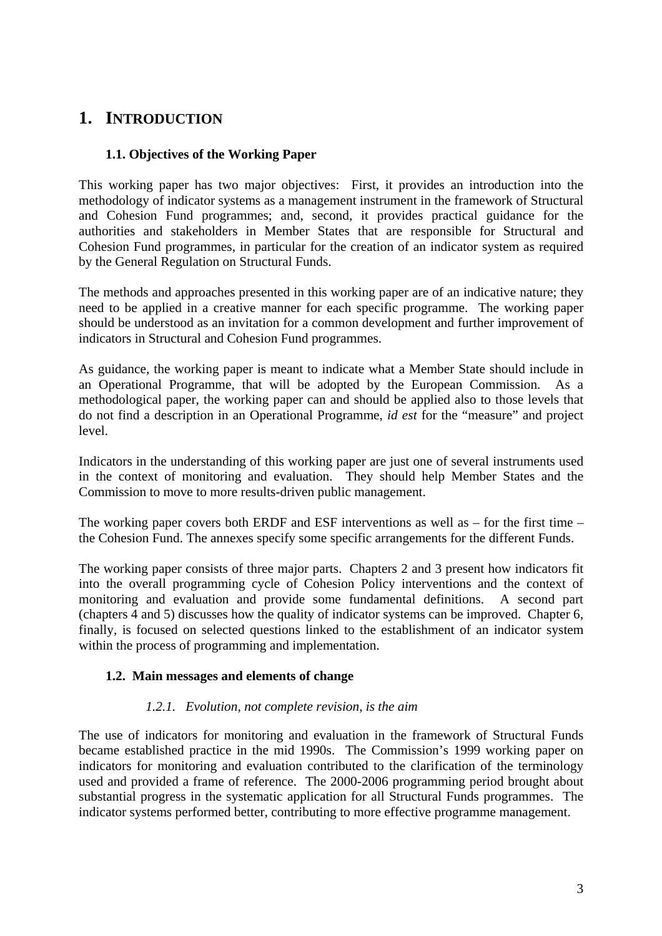# <span id="page-2-1"></span><span id="page-2-0"></span>**1. INTRODUCTION**

# **1.1. Objectives of the Working Paper**

This working paper has two major objectives: First, it provides an introduction into the methodology of indicator systems as a management instrument in the framework of Structural and Cohesion Fund programmes; and, second, it provides practical guidance for the authorities and stakeholders in Member States that are responsible for Structural and Cohesion Fund programmes, in particular for the creation of an indicator system as required by the General Regulation on Structural Funds.

The methods and approaches presented in this working paper are of an indicative nature; they need to be applied in a creative manner for each specific programme. The working paper should be understood as an invitation for a common development and further improvement of indicators in Structural and Cohesion Fund programmes.

As guidance, the working paper is meant to indicate what a Member State should include in an Operational Programme, that will be adopted by the European Commission. As a methodological paper, the working paper can and should be applied also to those levels that do not find a description in an Operational Programme, *id est* for the "measure" and project level.

Indicators in the understanding of this working paper are just one of several instruments used in the context of monitoring and evaluation. They should help Member States and the Commission to move to more results-driven public management.

The working paper covers both ERDF and ESF interventions as well as – for the first time – the Cohesion Fund. The annexes specify some specific arrangements for the different Funds.

The working paper consists of three major parts. Chapters 2 and 3 present how indicators fit into the overall programming cycle of Cohesion Policy interventions and the context of monitoring and evaluation and provide some fundamental definitions. A second part (chapters 4 and 5) discusses how the quality of indicator systems can be improved. Chapter 6, finally, is focused on selected questions linked to the establishment of an indicator system within the process of programming and implementation.

## <span id="page-2-2"></span>**1.2. Main messages and elements of change**

#### *1.2.1. Evolution, not complete revision, is the aim*

<span id="page-2-3"></span>The use of indicators for monitoring and evaluation in the framework of Structural Funds became established practice in the mid 1990s. The Commission's 1999 working paper on indicators for monitoring and evaluation contributed to the clarification of the terminology used and provided a frame of reference. The 2000-2006 programming period brought about substantial progress in the systematic application for all Structural Funds programmes. The indicator systems performed better, contributing to more effective programme management.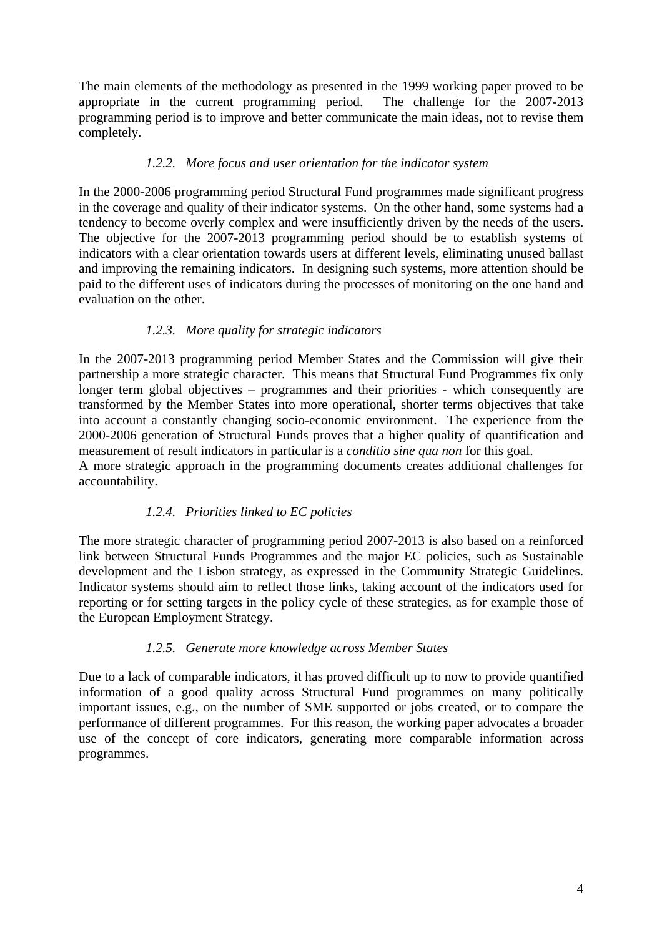The main elements of the methodology as presented in the 1999 working paper proved to be appropriate in the current programming period. The challenge for the 2007-2013 programming period is to improve and better communicate the main ideas, not to revise them completely.

## *1.2.2. More focus and user orientation for the indicator system*

<span id="page-3-0"></span>In the 2000-2006 programming period Structural Fund programmes made significant progress in the coverage and quality of their indicator systems. On the other hand, some systems had a tendency to become overly complex and were insufficiently driven by the needs of the users. The objective for the 2007-2013 programming period should be to establish systems of indicators with a clear orientation towards users at different levels, eliminating unused ballast and improving the remaining indicators. In designing such systems, more attention should be paid to the different uses of indicators during the processes of monitoring on the one hand and evaluation on the other.

# *1.2.3. More quality for strategic indicators*

<span id="page-3-1"></span>In the 2007-2013 programming period Member States and the Commission will give their partnership a more strategic character. This means that Structural Fund Programmes fix only longer term global objectives – programmes and their priorities - which consequently are transformed by the Member States into more operational, shorter terms objectives that take into account a constantly changing socio-economic environment. The experience from the 2000-2006 generation of Structural Funds proves that a higher quality of quantification and measurement of result indicators in particular is a *conditio sine qua non* for this goal.

<span id="page-3-2"></span>A more strategic approach in the programming documents creates additional challenges for accountability.

## *1.2.4. Priorities linked to EC policies*

The more strategic character of programming period 2007-2013 is also based on a reinforced link between Structural Funds Programmes and the major EC policies, such as Sustainable development and the Lisbon strategy, as expressed in the Community Strategic Guidelines. Indicator systems should aim to reflect those links, taking account of the indicators used for reporting or for setting targets in the policy cycle of these strategies, as for example those of the European Employment Strategy.

## *1.2.5. Generate more knowledge across Member States*

<span id="page-3-3"></span>Due to a lack of comparable indicators, it has proved difficult up to now to provide quantified information of a good quality across Structural Fund programmes on many politically important issues, e.g., on the number of SME supported or jobs created, or to compare the performance of different programmes. For this reason, the working paper advocates a broader use of the concept of core indicators, generating more comparable information across programmes.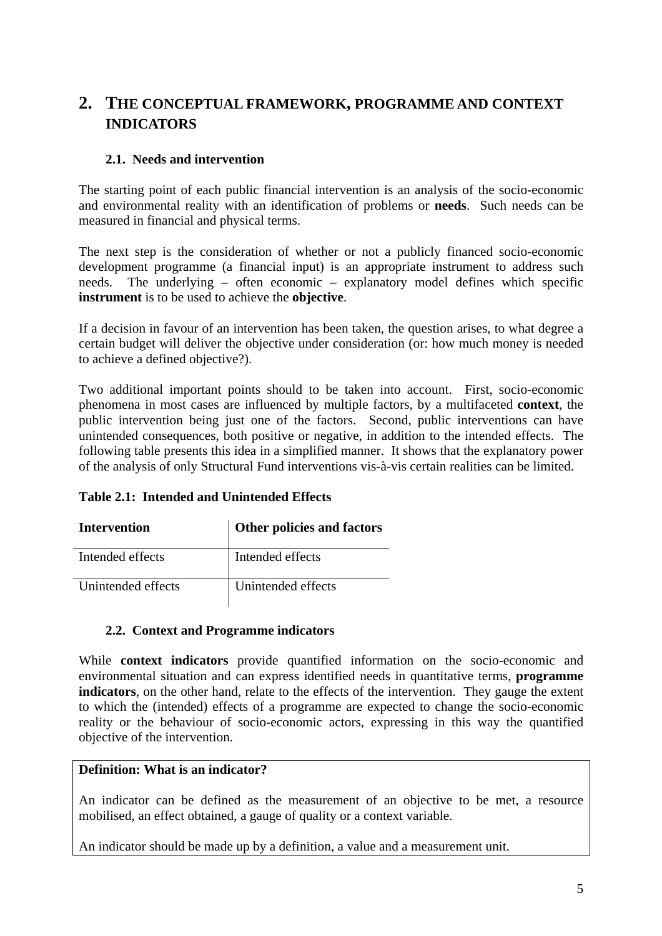# <span id="page-4-0"></span>**2. THE CONCEPTUAL FRAMEWORK, PROGRAMME AND CONTEXT INDICATORS**

## **2.1. Needs and intervention**

<span id="page-4-1"></span>The starting point of each public financial intervention is an analysis of the socio-economic and environmental reality with an identification of problems or **needs**. Such needs can be measured in financial and physical terms.

The next step is the consideration of whether or not a publicly financed socio-economic development programme (a financial input) is an appropriate instrument to address such needs. The underlying – often economic – explanatory model defines which specific **instrument** is to be used to achieve the **objective**.

If a decision in favour of an intervention has been taken, the question arises, to what degree a certain budget will deliver the objective under consideration (or: how much money is needed to achieve a defined objective?).

Two additional important points should to be taken into account. First, socio-economic phenomena in most cases are influenced by multiple factors, by a multifaceted **context**, the public intervention being just one of the factors. Second, public interventions can have unintended consequences, both positive or negative, in addition to the intended effects. The following table presents this idea in a simplified manner. It shows that the explanatory power of the analysis of only Structural Fund interventions vis-à-vis certain realities can be limited.

| Table 2.1: Intended and Unintended Effects |
|--------------------------------------------|
|                                            |

| <b>Intervention</b> | Other policies and factors |  |
|---------------------|----------------------------|--|
| Intended effects    | Intended effects           |  |
| Unintended effects  | Unintended effects         |  |

## **2.2. Context and Programme indicators**

<span id="page-4-2"></span>While **context indicators** provide quantified information on the socio-economic and environmental situation and can express identified needs in quantitative terms, **programme indicators**, on the other hand, relate to the effects of the intervention. They gauge the extent to which the (intended) effects of a programme are expected to change the socio-economic reality or the behaviour of socio-economic actors, expressing in this way the quantified objective of the intervention.

## **Definition: What is an indicator?**

An indicator can be defined as the measurement of an objective to be met, a resource mobilised, an effect obtained, a gauge of quality or a context variable.

An indicator should be made up by a definition, a value and a measurement unit.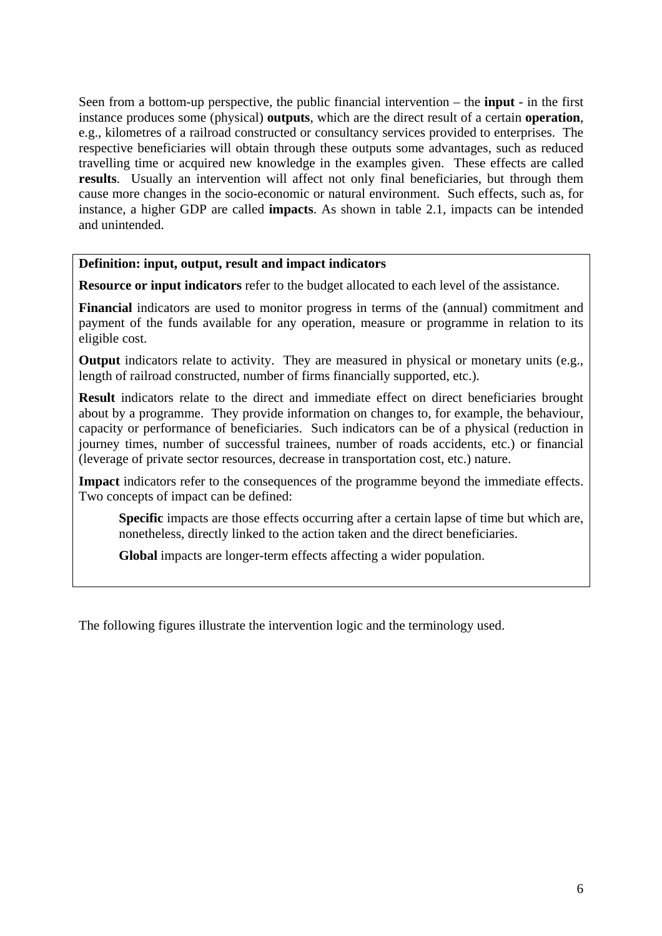Seen from a bottom-up perspective, the public financial intervention – the **input** - in the first instance produces some (physical) **outputs**, which are the direct result of a certain **operation**, e.g., kilometres of a railroad constructed or consultancy services provided to enterprises. The respective beneficiaries will obtain through these outputs some advantages, such as reduced travelling time or acquired new knowledge in the examples given. These effects are called **results**. Usually an intervention will affect not only final beneficiaries, but through them cause more changes in the socio-economic or natural environment. Such effects, such as, for instance, a higher GDP are called **impacts**. As shown in table 2.1, impacts can be intended and unintended.

#### **Definition: input, output, result and impact indicators**

**Resource or input indicators** refer to the budget allocated to each level of the assistance.

**Financial** indicators are used to monitor progress in terms of the (annual) commitment and payment of the funds available for any operation, measure or programme in relation to its eligible cost.

**Output** indicators relate to activity. They are measured in physical or monetary units (e.g., length of railroad constructed, number of firms financially supported, etc.).

**Result** indicators relate to the direct and immediate effect on direct beneficiaries brought about by a programme. They provide information on changes to, for example, the behaviour, capacity or performance of beneficiaries. Such indicators can be of a physical (reduction in journey times, number of successful trainees, number of roads accidents, etc.) or financial (leverage of private sector resources, decrease in transportation cost, etc.) nature.

**Impact** indicators refer to the consequences of the programme beyond the immediate effects. Two concepts of impact can be defined:

**Specific** impacts are those effects occurring after a certain lapse of time but which are, nonetheless, directly linked to the action taken and the direct beneficiaries.

 **Global** impacts are longer-term effects affecting a wider population.

The following figures illustrate the intervention logic and the terminology used.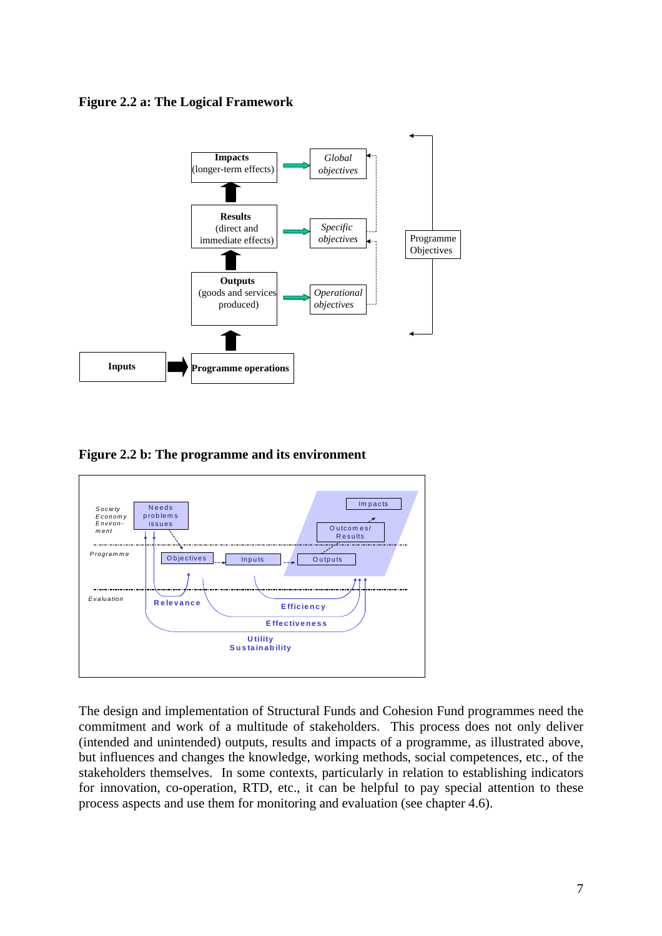



**Figure 2.2 b: The programme and its environment** 



The design and implementation of Structural Funds and Cohesion Fund programmes need the commitment and work of a multitude of stakeholders. This process does not only deliver (intended and unintended) outputs, results and impacts of a programme, as illustrated above, but influences and changes the knowledge, working methods, social competences, etc., of the stakeholders themselves. In some contexts, particularly in relation to establishing indicators for innovation, co-operation, RTD, etc., it can be helpful to pay special attention to these process aspects and use them for monitoring and evaluation (see chapter 4.6).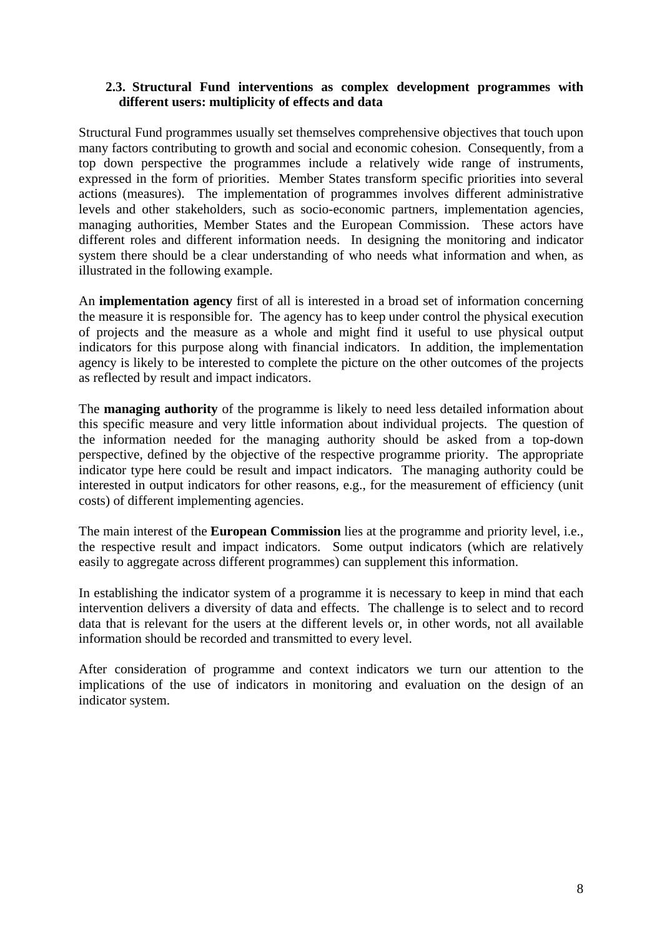## **2.3. Structural Fund interventions as complex development programmes with different users: multiplicity of effects and data**

<span id="page-7-0"></span>Structural Fund programmes usually set themselves comprehensive objectives that touch upon many factors contributing to growth and social and economic cohesion. Consequently, from a top down perspective the programmes include a relatively wide range of instruments, expressed in the form of priorities. Member States transform specific priorities into several actions (measures). The implementation of programmes involves different administrative levels and other stakeholders, such as socio-economic partners, implementation agencies, managing authorities, Member States and the European Commission. These actors have different roles and different information needs. In designing the monitoring and indicator system there should be a clear understanding of who needs what information and when, as illustrated in the following example.

An **implementation agency** first of all is interested in a broad set of information concerning the measure it is responsible for. The agency has to keep under control the physical execution of projects and the measure as a whole and might find it useful to use physical output indicators for this purpose along with financial indicators. In addition, the implementation agency is likely to be interested to complete the picture on the other outcomes of the projects as reflected by result and impact indicators.

The **managing authority** of the programme is likely to need less detailed information about this specific measure and very little information about individual projects. The question of the information needed for the managing authority should be asked from a top-down perspective, defined by the objective of the respective programme priority. The appropriate indicator type here could be result and impact indicators. The managing authority could be interested in output indicators for other reasons, e.g., for the measurement of efficiency (unit costs) of different implementing agencies.

The main interest of the **European Commission** lies at the programme and priority level, i.e., the respective result and impact indicators. Some output indicators (which are relatively easily to aggregate across different programmes) can supplement this information.

In establishing the indicator system of a programme it is necessary to keep in mind that each intervention delivers a diversity of data and effects. The challenge is to select and to record data that is relevant for the users at the different levels or, in other words, not all available information should be recorded and transmitted to every level.

After consideration of programme and context indicators we turn our attention to the implications of the use of indicators in monitoring and evaluation on the design of an indicator system.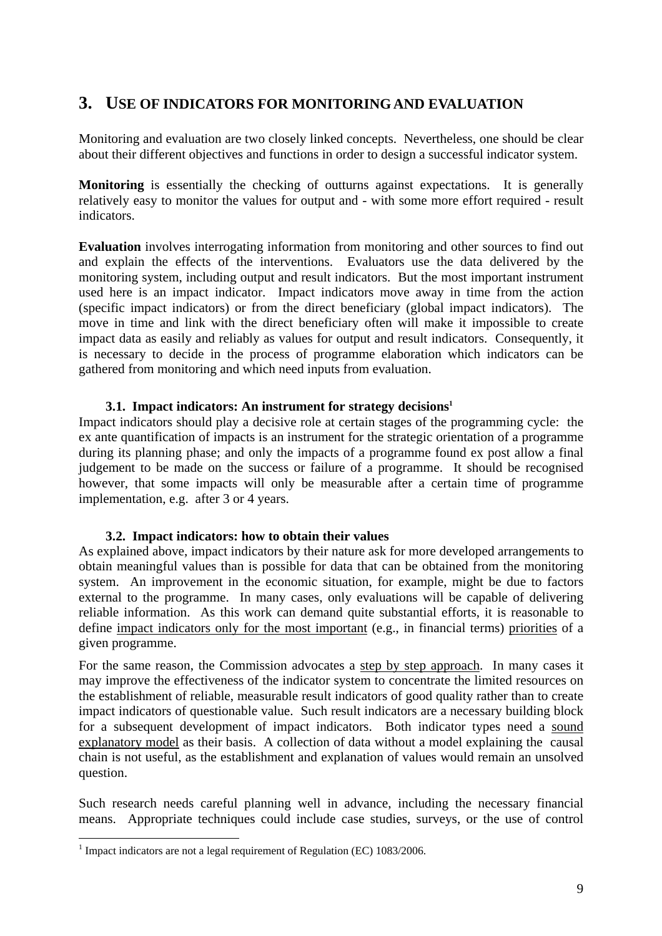# <span id="page-8-0"></span>**3. USE OF INDICATORS FOR MONITORING AND EVALUATION**

Monitoring and evaluation are two closely linked concepts. Nevertheless, one should be clear about their different objectives and functions in order to design a successful indicator system.

**Monitoring** is essentially the checking of outturns against expectations. It is generally relatively easy to monitor the values for output and - with some more effort required - result indicators.

**Evaluation** involves interrogating information from monitoring and other sources to find out and explain the effects of the interventions. Evaluators use the data delivered by the monitoring system, including output and result indicators. But the most important instrument used here is an impact indicator. Impact indicators move away in time from the action (specific impact indicators) or from the direct beneficiary (global impact indicators). The move in time and link with the direct beneficiary often will make it impossible to create impact data as easily and reliably as values for output and result indicators. Consequently, it is necessary to decide in the process of programme elaboration which indicators can be gathered from monitoring and which need inputs from evaluation.

#### 3.1. Impact indicators: An instrument for strategy decisions<sup>1</sup>

<span id="page-8-1"></span>Impact indicators should play a decisive role at certain stages of the programming cycle: the ex ante quantification of impacts is an instrument for the strategic orientation of a programme during its planning phase; and only the impacts of a programme found ex post allow a final judgement to be made on the success or failure of a programme. It should be recognised however, that some impacts will only be measurable after a certain time of programme implementation, e.g. after 3 or 4 years.

#### **3.2. Impact indicators: how to obtain their values**

<span id="page-8-2"></span>As explained above, impact indicators by their nature ask for more developed arrangements to obtain meaningful values than is possible for data that can be obtained from the monitoring system. An improvement in the economic situation, for example, might be due to factors external to the programme. In many cases, only evaluations will be capable of delivering reliable information. As this work can demand quite substantial efforts, it is reasonable to define impact indicators only for the most important (e.g., in financial terms) priorities of a given programme.

For the same reason, the Commission advocates a step by step approach. In many cases it may improve the effectiveness of the indicator system to concentrate the limited resources on the establishment of reliable, measurable result indicators of good quality rather than to create impact indicators of questionable value. Such result indicators are a necessary building block for a subsequent development of impact indicators. Both indicator types need a sound explanatory model as their basis. A collection of data without a model explaining the causal chain is not useful, as the establishment and explanation of values would remain an unsolved question.

Such research needs careful planning well in advance, including the necessary financial means. Appropriate techniques could include case studies, surveys, or the use of control

1

<sup>&</sup>lt;sup>1</sup> Impact indicators are not a legal requirement of Regulation (EC)  $1083/2006$ .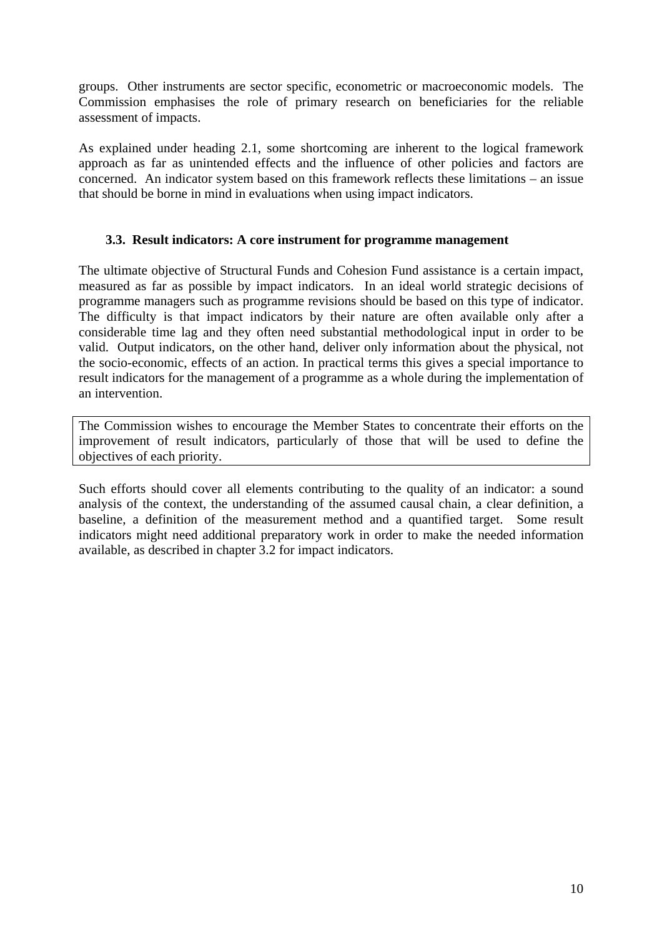groups. Other instruments are sector specific, econometric or macroeconomic models. The Commission emphasises the role of primary research on beneficiaries for the reliable assessment of impacts.

As explained under heading 2.1, some shortcoming are inherent to the logical framework approach as far as unintended effects and the influence of other policies and factors are concerned. An indicator system based on this framework reflects these limitations – an issue that should be borne in mind in evaluations when using impact indicators.

#### **3.3. Result indicators: A core instrument for programme management**

<span id="page-9-0"></span>The ultimate objective of Structural Funds and Cohesion Fund assistance is a certain impact, measured as far as possible by impact indicators. In an ideal world strategic decisions of programme managers such as programme revisions should be based on this type of indicator. The difficulty is that impact indicators by their nature are often available only after a considerable time lag and they often need substantial methodological input in order to be valid. Output indicators, on the other hand, deliver only information about the physical, not the socio-economic, effects of an action. In practical terms this gives a special importance to result indicators for the management of a programme as a whole during the implementation of an intervention.

The Commission wishes to encourage the Member States to concentrate their efforts on the improvement of result indicators, particularly of those that will be used to define the objectives of each priority.

Such efforts should cover all elements contributing to the quality of an indicator: a sound analysis of the context, the understanding of the assumed causal chain, a clear definition, a baseline, a definition of the measurement method and a quantified target. Some result indicators might need additional preparatory work in order to make the needed information available, as described in chapter 3.2 for impact indicators.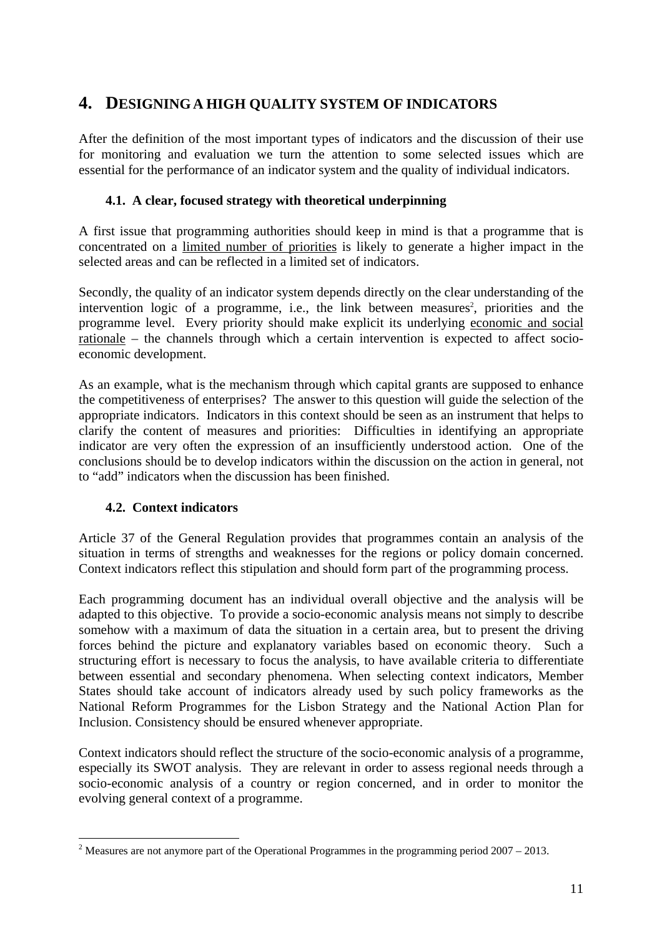# <span id="page-10-0"></span>**4. DESIGNING A HIGH QUALITY SYSTEM OF INDICATORS**

After the definition of the most important types of indicators and the discussion of their use for monitoring and evaluation we turn the attention to some selected issues which are essential for the performance of an indicator system and the quality of individual indicators.

#### **4.1. A clear, focused strategy with theoretical underpinning**

<span id="page-10-1"></span>A first issue that programming authorities should keep in mind is that a programme that is concentrated on a limited number of priorities is likely to generate a higher impact in the selected areas and can be reflected in a limited set of indicators.

Secondly, the quality of an indicator system depends directly on the clear understanding of the intervention logic of a programme, i.e., the link between measures<sup>2</sup>, priorities and the programme level. Every priority should make explicit its underlying economic and social rationale – the channels through which a certain intervention is expected to affect socioeconomic development.

As an example, what is the mechanism through which capital grants are supposed to enhance the competitiveness of enterprises? The answer to this question will guide the selection of the appropriate indicators. Indicators in this context should be seen as an instrument that helps to clarify the content of measures and priorities: Difficulties in identifying an appropriate indicator are very often the expression of an insufficiently understood action. One of the conclusions should be to develop indicators within the discussion on the action in general, not to "add" indicators when the discussion has been finished.

## **4.2. Context indicators**

1

<span id="page-10-2"></span>Article 37 of the General Regulation provides that programmes contain an analysis of the situation in terms of strengths and weaknesses for the regions or policy domain concerned. Context indicators reflect this stipulation and should form part of the programming process.

Each programming document has an individual overall objective and the analysis will be adapted to this objective. To provide a socio-economic analysis means not simply to describe somehow with a maximum of data the situation in a certain area, but to present the driving forces behind the picture and explanatory variables based on economic theory. Such a structuring effort is necessary to focus the analysis, to have available criteria to differentiate between essential and secondary phenomena. When selecting context indicators, Member States should take account of indicators already used by such policy frameworks as the National Reform Programmes for the Lisbon Strategy and the National Action Plan for Inclusion. Consistency should be ensured whenever appropriate.

Context indicators should reflect the structure of the socio-economic analysis of a programme, especially its SWOT analysis. They are relevant in order to assess regional needs through a socio-economic analysis of a country or region concerned, and in order to monitor the evolving general context of a programme.

<sup>&</sup>lt;sup>2</sup> Measures are not anymore part of the Operational Programmes in the programming period  $2007 - 2013$ .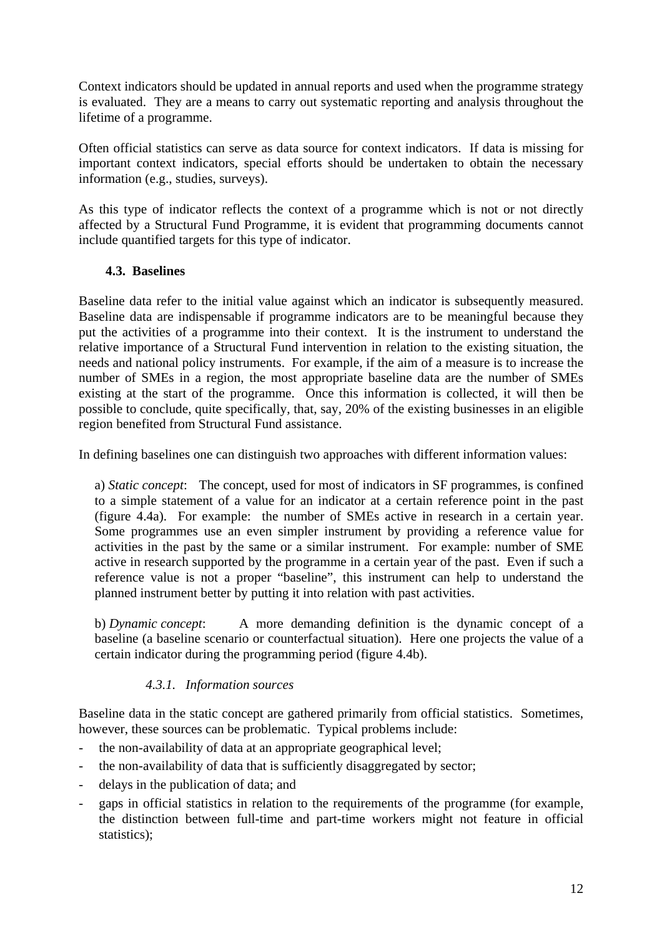Context indicators should be updated in annual reports and used when the programme strategy is evaluated. They are a means to carry out systematic reporting and analysis throughout the lifetime of a programme.

Often official statistics can serve as data source for context indicators. If data is missing for important context indicators, special efforts should be undertaken to obtain the necessary information (e.g., studies, surveys).

As this type of indicator reflects the context of a programme which is not or not directly affected by a Structural Fund Programme, it is evident that programming documents cannot include quantified targets for this type of indicator.

# **4.3. Baselines**

<span id="page-11-0"></span>Baseline data refer to the initial value against which an indicator is subsequently measured. Baseline data are indispensable if programme indicators are to be meaningful because they put the activities of a programme into their context. It is the instrument to understand the relative importance of a Structural Fund intervention in relation to the existing situation, the needs and national policy instruments. For example, if the aim of a measure is to increase the number of SMEs in a region, the most appropriate baseline data are the number of SMEs existing at the start of the programme. Once this information is collected, it will then be possible to conclude, quite specifically, that, say, 20% of the existing businesses in an eligible region benefited from Structural Fund assistance.

In defining baselines one can distinguish two approaches with different information values:

a) *Static concept*: The concept, used for most of indicators in SF programmes, is confined to a simple statement of a value for an indicator at a certain reference point in the past (figure 4.4a). For example: the number of SMEs active in research in a certain year. Some programmes use an even simpler instrument by providing a reference value for activities in the past by the same or a similar instrument. For example: number of SME active in research supported by the programme in a certain year of the past. Even if such a reference value is not a proper "baseline", this instrument can help to understand the planned instrument better by putting it into relation with past activities.

b) *Dynamic concept*: A more demanding definition is the dynamic concept of a baseline (a baseline scenario or counterfactual situation). Here one projects the value of a certain indicator during the programming period (figure 4.4b).

## *4.3.1. Information sources*

<span id="page-11-1"></span>Baseline data in the static concept are gathered primarily from official statistics. Sometimes, however, these sources can be problematic. Typical problems include:

- the non-availability of data at an appropriate geographical level;
- the non-availability of data that is sufficiently disaggregated by sector;
- delays in the publication of data; and
- gaps in official statistics in relation to the requirements of the programme (for example, the distinction between full-time and part-time workers might not feature in official statistics):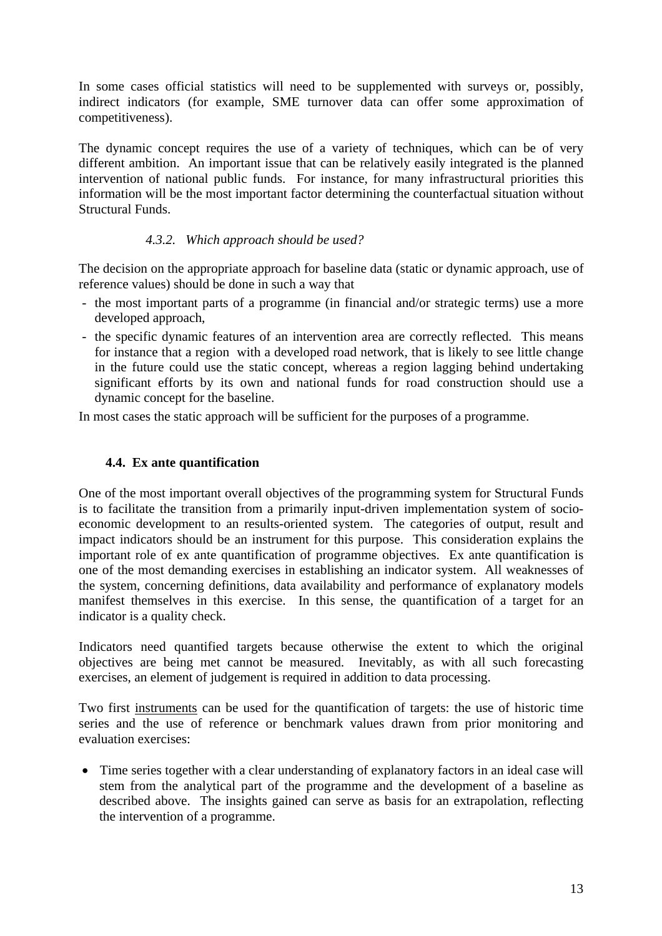In some cases official statistics will need to be supplemented with surveys or, possibly, indirect indicators (for example, SME turnover data can offer some approximation of competitiveness).

The dynamic concept requires the use of a variety of techniques, which can be of very different ambition. An important issue that can be relatively easily integrated is the planned intervention of national public funds. For instance, for many infrastructural priorities this information will be the most important factor determining the counterfactual situation without Structural Funds.

## *4.3.2. Which approach should be used?*

<span id="page-12-0"></span>The decision on the appropriate approach for baseline data (static or dynamic approach, use of reference values) should be done in such a way that

- the most important parts of a programme (in financial and/or strategic terms) use a more developed approach,
- the specific dynamic features of an intervention area are correctly reflected. This means for instance that a region with a developed road network, that is likely to see little change in the future could use the static concept, whereas a region lagging behind undertaking significant efforts by its own and national funds for road construction should use a dynamic concept for the baseline.

<span id="page-12-1"></span>In most cases the static approach will be sufficient for the purposes of a programme.

## **4.4. Ex ante quantification**

One of the most important overall objectives of the programming system for Structural Funds is to facilitate the transition from a primarily input-driven implementation system of socioeconomic development to an results-oriented system. The categories of output, result and impact indicators should be an instrument for this purpose. This consideration explains the important role of ex ante quantification of programme objectives. Ex ante quantification is one of the most demanding exercises in establishing an indicator system. All weaknesses of the system, concerning definitions, data availability and performance of explanatory models manifest themselves in this exercise. In this sense, the quantification of a target for an indicator is a quality check.

Indicators need quantified targets because otherwise the extent to which the original objectives are being met cannot be measured. Inevitably, as with all such forecasting exercises, an element of judgement is required in addition to data processing.

Two first instruments can be used for the quantification of targets: the use of historic time series and the use of reference or benchmark values drawn from prior monitoring and evaluation exercises:

• Time series together with a clear understanding of explanatory factors in an ideal case will stem from the analytical part of the programme and the development of a baseline as described above. The insights gained can serve as basis for an extrapolation, reflecting the intervention of a programme.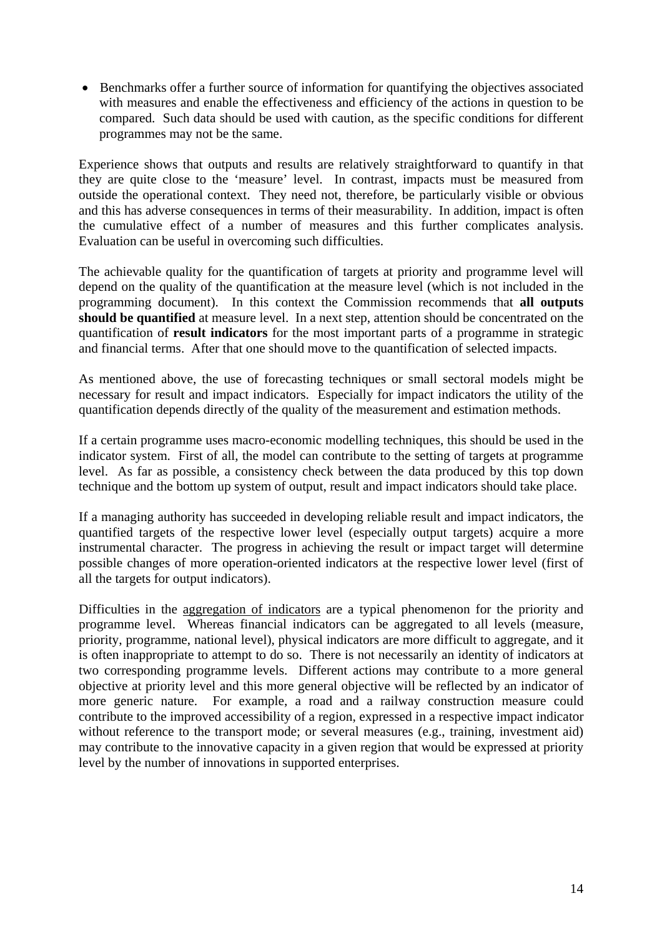• Benchmarks offer a further source of information for quantifying the objectives associated with measures and enable the effectiveness and efficiency of the actions in question to be compared. Such data should be used with caution, as the specific conditions for different programmes may not be the same.

Experience shows that outputs and results are relatively straightforward to quantify in that they are quite close to the 'measure' level. In contrast, impacts must be measured from outside the operational context. They need not, therefore, be particularly visible or obvious and this has adverse consequences in terms of their measurability. In addition, impact is often the cumulative effect of a number of measures and this further complicates analysis. Evaluation can be useful in overcoming such difficulties.

The achievable quality for the quantification of targets at priority and programme level will depend on the quality of the quantification at the measure level (which is not included in the programming document). In this context the Commission recommends that **all outputs should be quantified** at measure level. In a next step, attention should be concentrated on the quantification of **result indicators** for the most important parts of a programme in strategic and financial terms. After that one should move to the quantification of selected impacts.

As mentioned above, the use of forecasting techniques or small sectoral models might be necessary for result and impact indicators. Especially for impact indicators the utility of the quantification depends directly of the quality of the measurement and estimation methods.

If a certain programme uses macro-economic modelling techniques, this should be used in the indicator system. First of all, the model can contribute to the setting of targets at programme level. As far as possible, a consistency check between the data produced by this top down technique and the bottom up system of output, result and impact indicators should take place.

If a managing authority has succeeded in developing reliable result and impact indicators, the quantified targets of the respective lower level (especially output targets) acquire a more instrumental character. The progress in achieving the result or impact target will determine possible changes of more operation-oriented indicators at the respective lower level (first of all the targets for output indicators).

Difficulties in the aggregation of indicators are a typical phenomenon for the priority and programme level. Whereas financial indicators can be aggregated to all levels (measure, priority, programme, national level), physical indicators are more difficult to aggregate, and it is often inappropriate to attempt to do so. There is not necessarily an identity of indicators at two corresponding programme levels. Different actions may contribute to a more general objective at priority level and this more general objective will be reflected by an indicator of more generic nature. For example, a road and a railway construction measure could contribute to the improved accessibility of a region, expressed in a respective impact indicator without reference to the transport mode; or several measures (e.g., training, investment aid) may contribute to the innovative capacity in a given region that would be expressed at priority level by the number of innovations in supported enterprises.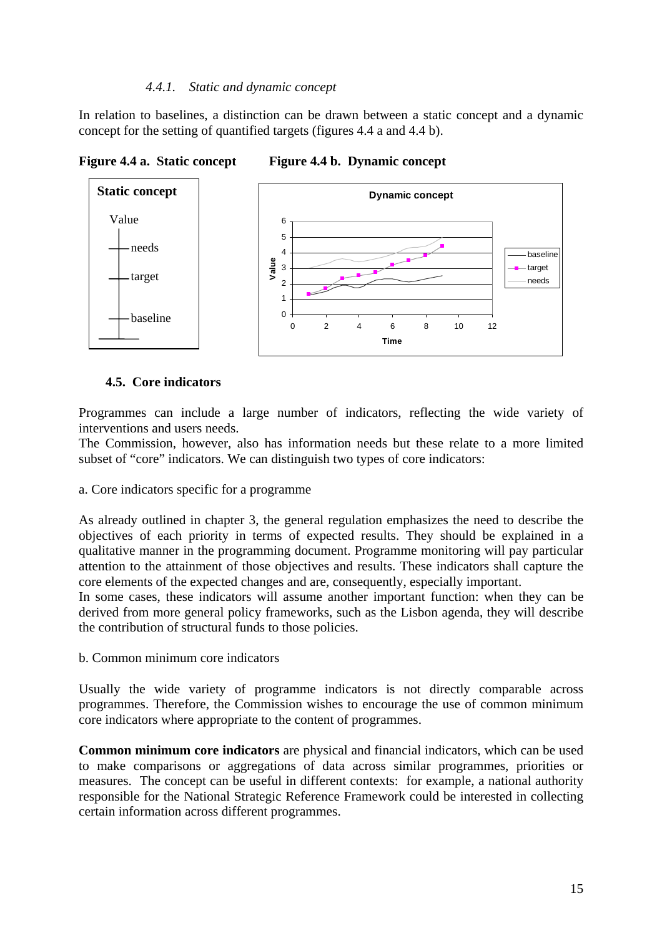#### *4.4.1. Static and dynamic concept*

<span id="page-14-0"></span>In relation to baselines, a distinction can be drawn between a static concept and a dynamic concept for the setting of quantified targets (figures 4.4 a and 4.4 b).



**Figure 4.4 a. Static concept Figure 4.4 b. Dynamic concept** 

## **4.5. Core indicators**

<span id="page-14-1"></span>Programmes can include a large number of indicators, reflecting the wide variety of interventions and users needs.

The Commission, however, also has information needs but these relate to a more limited subset of "core" indicators. We can distinguish two types of core indicators:

a. Core indicators specific for a programme

As already outlined in chapter 3, the general regulation emphasizes the need to describe the objectives of each priority in terms of expected results. They should be explained in a qualitative manner in the programming document. Programme monitoring will pay particular attention to the attainment of those objectives and results. These indicators shall capture the core elements of the expected changes and are, consequently, especially important.

In some cases, these indicators will assume another important function: when they can be derived from more general policy frameworks, such as the Lisbon agenda, they will describe the contribution of structural funds to those policies.

b. Common minimum core indicators

Usually the wide variety of programme indicators is not directly comparable across programmes. Therefore, the Commission wishes to encourage the use of common minimum core indicators where appropriate to the content of programmes.

**Common minimum core indicators** are physical and financial indicators, which can be used to make comparisons or aggregations of data across similar programmes, priorities or measures. The concept can be useful in different contexts: for example, a national authority responsible for the National Strategic Reference Framework could be interested in collecting certain information across different programmes.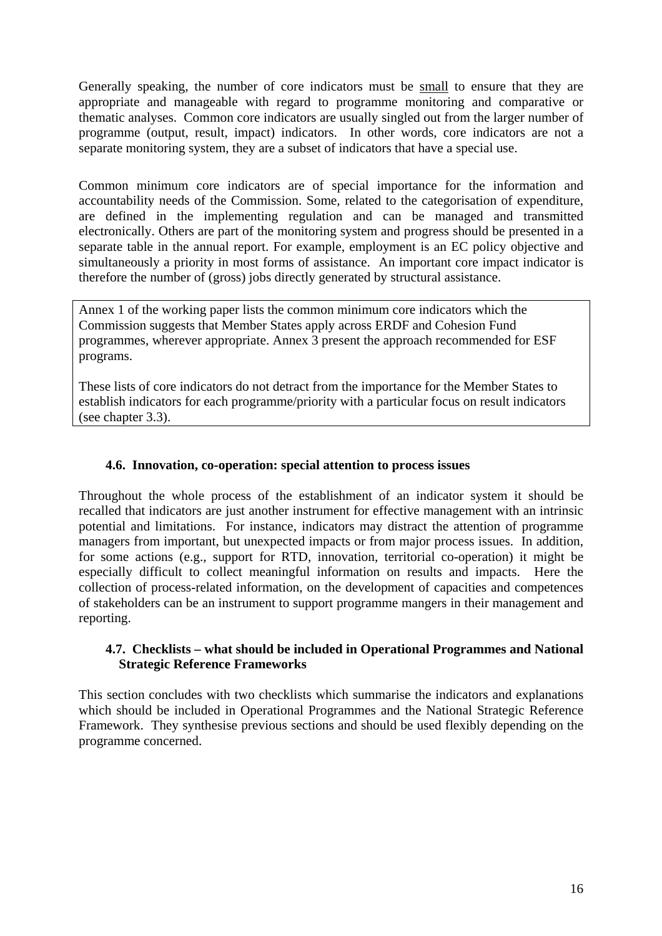Generally speaking, the number of core indicators must be small to ensure that they are appropriate and manageable with regard to programme monitoring and comparative or thematic analyses. Common core indicators are usually singled out from the larger number of programme (output, result, impact) indicators. In other words, core indicators are not a separate monitoring system, they are a subset of indicators that have a special use.

Common minimum core indicators are of special importance for the information and accountability needs of the Commission. Some, related to the categorisation of expenditure, are defined in the implementing regulation and can be managed and transmitted electronically. Others are part of the monitoring system and progress should be presented in a separate table in the annual report. For example, employment is an EC policy objective and simultaneously a priority in most forms of assistance. An important core impact indicator is therefore the number of (gross) jobs directly generated by structural assistance.

Annex 1 of the working paper lists the common minimum core indicators which the Commission suggests that Member States apply across ERDF and Cohesion Fund programmes, wherever appropriate. Annex 3 present the approach recommended for ESF programs.

These lists of core indicators do not detract from the importance for the Member States to establish indicators for each programme/priority with a particular focus on result indicators (see chapter 3.3).

## **4.6. Innovation, co-operation: special attention to process issues**

<span id="page-15-0"></span>Throughout the whole process of the establishment of an indicator system it should be recalled that indicators are just another instrument for effective management with an intrinsic potential and limitations. For instance, indicators may distract the attention of programme managers from important, but unexpected impacts or from major process issues. In addition, for some actions (e.g., support for RTD, innovation, territorial co-operation) it might be especially difficult to collect meaningful information on results and impacts. Here the collection of process-related information, on the development of capacities and competences of stakeholders can be an instrument to support programme mangers in their management and reporting.

#### **4.7. Checklists – what should be included in Operational Programmes and National Strategic Reference Frameworks**

<span id="page-15-1"></span>This section concludes with two checklists which summarise the indicators and explanations which should be included in Operational Programmes and the National Strategic Reference Framework. They synthesise previous sections and should be used flexibly depending on the programme concerned.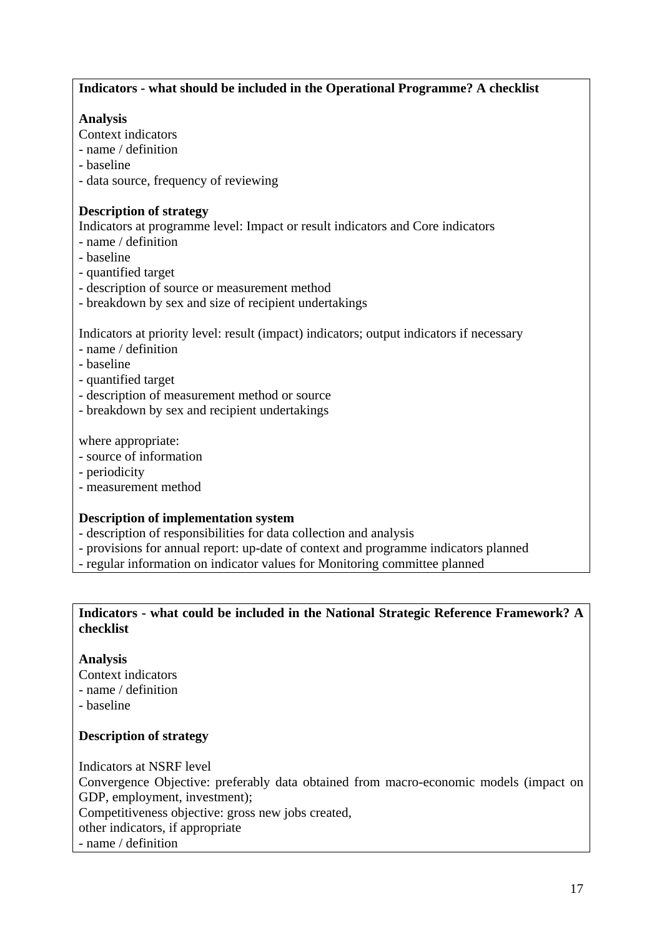# **Indicators - what should be included in the Operational Programme? A checklist**

## **Analysis**

- Context indicators
- name / definition
- baseline
- data source, frequency of reviewing

## **Description of strategy**

Indicators at programme level: Impact or result indicators and Core indicators

- name / definition
- baseline
- quantified target
- description of source or measurement method
- breakdown by sex and size of recipient undertakings

Indicators at priority level: result (impact) indicators; output indicators if necessary

- name / definition
- baseline
- quantified target
- description of measurement method or source
- breakdown by sex and recipient undertakings

where appropriate:

- source of information
- periodicity
- measurement method

# **Description of implementation system**

- description of responsibilities for data collection and analysis
- provisions for annual report: up-date of context and programme indicators planned
- regular information on indicator values for Monitoring committee planned

# **Indicators - what could be included in the National Strategic Reference Framework? A checklist**

# **Analysis**

- Context indicators
- name / definition
- baseline

# **Description of strategy**

Indicators at NSRF level Convergence Objective: preferably data obtained from macro-economic models (impact on GDP, employment, investment); Competitiveness objective: gross new jobs created, other indicators, if appropriate - name / definition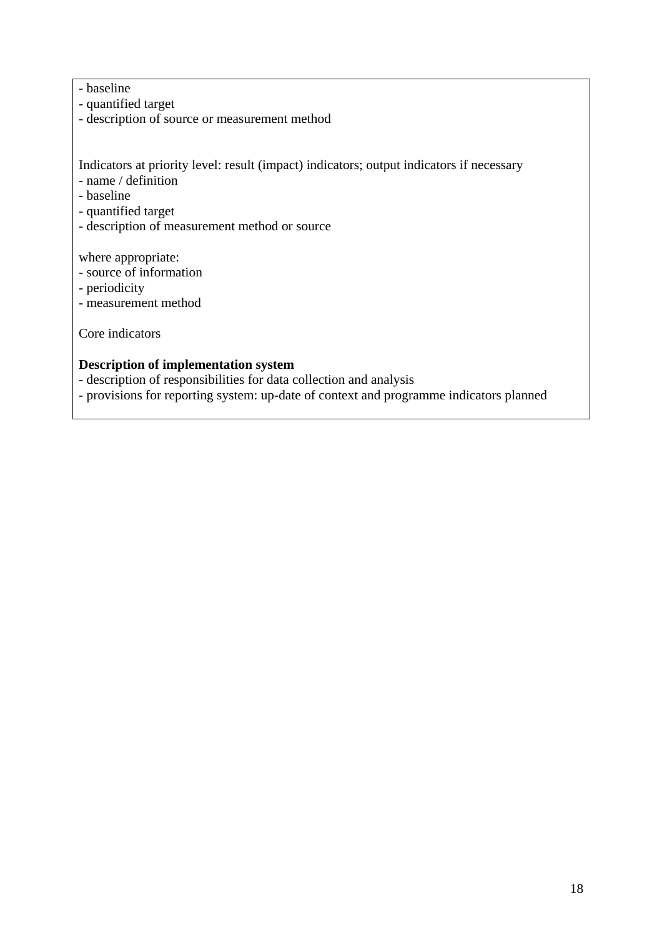# - baseline

- quantified target
- description of source or measurement method

Indicators at priority level: result (impact) indicators; output indicators if necessary

- name / definition
- baseline
- quantified target
- description of measurement method or source

where appropriate:

- source of information
- periodicity
- measurement method

Core indicators

#### **Description of implementation system**

- description of responsibilities for data collection and analysis
- provisions for reporting system: up-date of context and programme indicators planned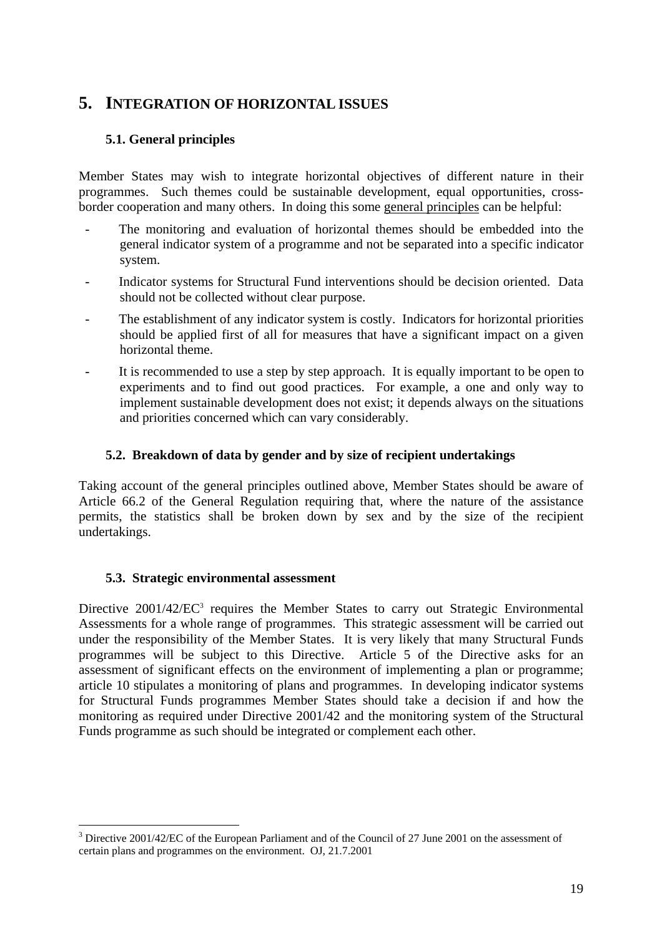# <span id="page-18-1"></span><span id="page-18-0"></span>**5. INTEGRATION OF HORIZONTAL ISSUES**

# **5.1. General principles**

Member States may wish to integrate horizontal objectives of different nature in their programmes. Such themes could be sustainable development, equal opportunities, crossborder cooperation and many others. In doing this some general principles can be helpful:

- The monitoring and evaluation of horizontal themes should be embedded into the general indicator system of a programme and not be separated into a specific indicator system.
- Indicator systems for Structural Fund interventions should be decision oriented. Data should not be collected without clear purpose.
- The establishment of any indicator system is costly. Indicators for horizontal priorities should be applied first of all for measures that have a significant impact on a given horizontal theme.
- It is recommended to use a step by step approach. It is equally important to be open to experiments and to find out good practices. For example, a one and only way to implement sustainable development does not exist; it depends always on the situations and priorities concerned which can vary considerably.

## **5.2. Breakdown of data by gender and by size of recipient undertakings**

<span id="page-18-2"></span>Taking account of the general principles outlined above, Member States should be aware of Article 66.2 of the General Regulation requiring that, where the nature of the assistance permits, the statistics shall be broken down by sex and by the size of the recipient undertakings.

## **5.3. Strategic environmental assessment**

1

<span id="page-18-3"></span>Directive 2001/42/EC<sup>3</sup> requires the Member States to carry out Strategic Environmental Assessments for a whole range of programmes. This strategic assessment will be carried out under the responsibility of the Member States. It is very likely that many Structural Funds programmes will be subject to this Directive. Article 5 of the Directive asks for an assessment of significant effects on the environment of implementing a plan or programme; article 10 stipulates a monitoring of plans and programmes. In developing indicator systems for Structural Funds programmes Member States should take a decision if and how the monitoring as required under Directive 2001/42 and the monitoring system of the Structural Funds programme as such should be integrated or complement each other.

<sup>&</sup>lt;sup>3</sup> Directive 2001/42/EC of the European Parliament and of the Council of 27 June 2001 on the assessment of certain plans and programmes on the environment. OJ, 21.7.2001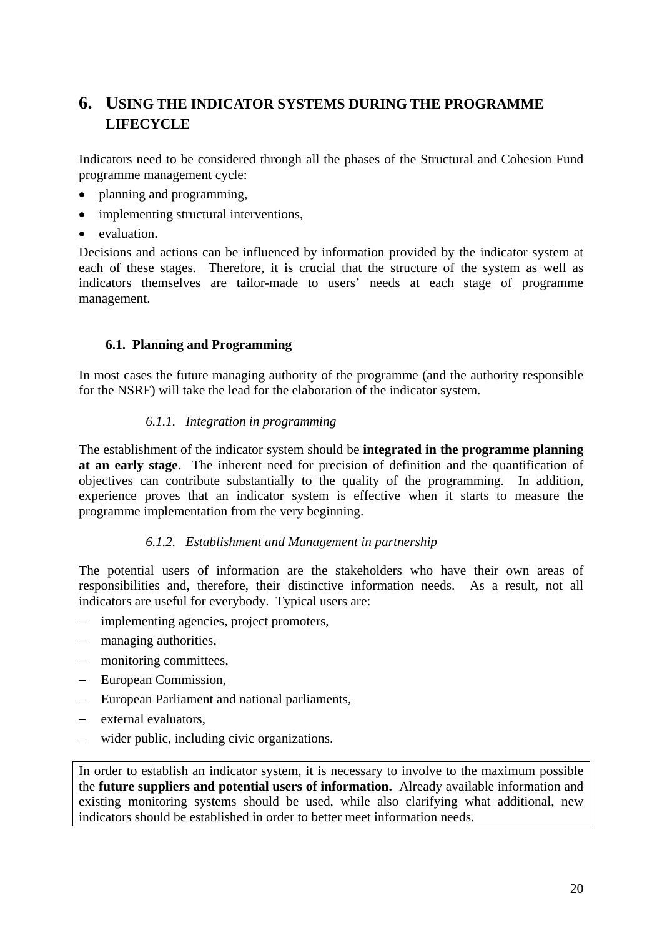# <span id="page-19-0"></span>**6. USING THE INDICATOR SYSTEMS DURING THE PROGRAMME LIFECYCLE**

Indicators need to be considered through all the phases of the Structural and Cohesion Fund programme management cycle:

- planning and programming,
- implementing structural interventions,
- evaluation.

Decisions and actions can be influenced by information provided by the indicator system at each of these stages. Therefore, it is crucial that the structure of the system as well as indicators themselves are tailor-made to users' needs at each stage of programme management.

# **6.1. Planning and Programming**

<span id="page-19-2"></span><span id="page-19-1"></span>In most cases the future managing authority of the programme (and the authority responsible for the NSRF) will take the lead for the elaboration of the indicator system.

## *6.1.1. Integration in programming*

The establishment of the indicator system should be **integrated in the programme planning at an early stage**. The inherent need for precision of definition and the quantification of objectives can contribute substantially to the quality of the programming. In addition, experience proves that an indicator system is effective when it starts to measure the programme implementation from the very beginning.

## *6.1.2. Establishment and Management in partnership*

<span id="page-19-3"></span>The potential users of information are the stakeholders who have their own areas of responsibilities and, therefore, their distinctive information needs. As a result, not all indicators are useful for everybody. Typical users are:

- − implementing agencies, project promoters,
- managing authorities,
- monitoring committees,
- European Commission,
- − European Parliament and national parliaments,
- − external evaluators,
- − wider public, including civic organizations.

In order to establish an indicator system, it is necessary to involve to the maximum possible the **future suppliers and potential users of information.** Already available information and existing monitoring systems should be used, while also clarifying what additional, new indicators should be established in order to better meet information needs.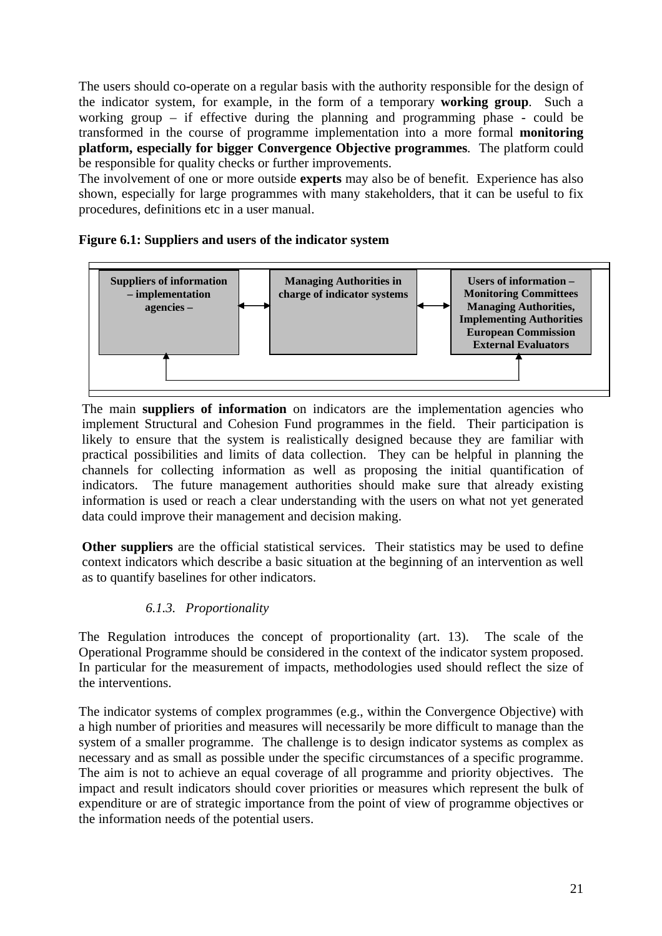The users should co-operate on a regular basis with the authority responsible for the design of the indicator system, for example, in the form of a temporary **working group**. Such a working group – if effective during the planning and programming phase - could be transformed in the course of programme implementation into a more formal **monitoring platform, especially for bigger Convergence Objective programmes**. The platform could be responsible for quality checks or further improvements.

The involvement of one or more outside **experts** may also be of benefit. Experience has also shown, especially for large programmes with many stakeholders, that it can be useful to fix procedures, definitions etc in a user manual.

## **Figure 6.1: Suppliers and users of the indicator system**



The main **suppliers of information** on indicators are the implementation agencies who implement Structural and Cohesion Fund programmes in the field. Their participation is likely to ensure that the system is realistically designed because they are familiar with practical possibilities and limits of data collection. They can be helpful in planning the channels for collecting information as well as proposing the initial quantification of indicators. The future management authorities should make sure that already existing information is used or reach a clear understanding with the users on what not yet generated data could improve their management and decision making.

**Other suppliers** are the official statistical services. Their statistics may be used to define context indicators which describe a basic situation at the beginning of an intervention as well as to quantify baselines for other indicators.

# *6.1.3. Proportionality*

<span id="page-20-0"></span>The Regulation introduces the concept of proportionality (art. 13). The scale of the Operational Programme should be considered in the context of the indicator system proposed. In particular for the measurement of impacts, methodologies used should reflect the size of the interventions.

The indicator systems of complex programmes (e.g., within the Convergence Objective) with a high number of priorities and measures will necessarily be more difficult to manage than the system of a smaller programme. The challenge is to design indicator systems as complex as necessary and as small as possible under the specific circumstances of a specific programme. The aim is not to achieve an equal coverage of all programme and priority objectives. The impact and result indicators should cover priorities or measures which represent the bulk of expenditure or are of strategic importance from the point of view of programme objectives or the information needs of the potential users.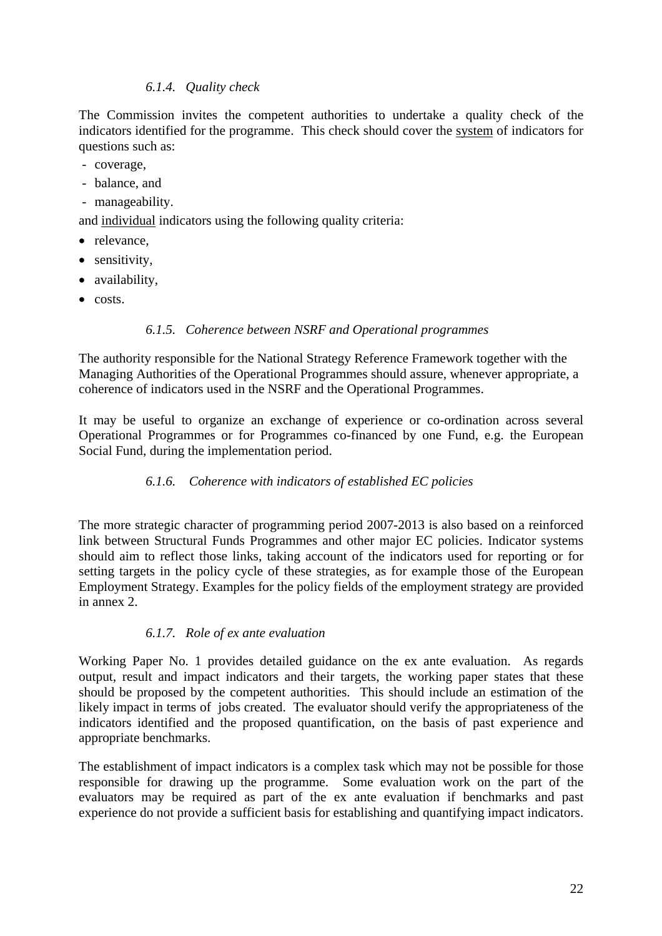## *6.1.4. Quality check*

<span id="page-21-0"></span>The Commission invites the competent authorities to undertake a quality check of the indicators identified for the programme. This check should cover the system of indicators for questions such as:

- coverage,
- balance, and
- manageability.

and individual indicators using the following quality criteria:

- relevance.
- sensitivity,
- availability,
- <span id="page-21-1"></span>• costs.

## *6.1.5. Coherence between NSRF and Operational programmes*

The authority responsible for the National Strategy Reference Framework together with the Managing Authorities of the Operational Programmes should assure, whenever appropriate, a coherence of indicators used in the NSRF and the Operational Programmes.

<span id="page-21-2"></span>It may be useful to organize an exchange of experience or co-ordination across several Operational Programmes or for Programmes co-financed by one Fund, e.g. the European Social Fund, during the implementation period.

# *6.1.6. Coherence with indicators of established EC policies*

The more strategic character of programming period 2007-2013 is also based on a reinforced link between Structural Funds Programmes and other major EC policies. Indicator systems should aim to reflect those links, taking account of the indicators used for reporting or for setting targets in the policy cycle of these strategies, as for example those of the European Employment Strategy. Examples for the policy fields of the employment strategy are provided in annex 2.

## *6.1.7. Role of ex ante evaluation*

<span id="page-21-3"></span>Working Paper No. 1 provides detailed guidance on the ex ante evaluation. As regards output, result and impact indicators and their targets, the working paper states that these should be proposed by the competent authorities. This should include an estimation of the likely impact in terms of jobs created. The evaluator should verify the appropriateness of the indicators identified and the proposed quantification, on the basis of past experience and appropriate benchmarks.

The establishment of impact indicators is a complex task which may not be possible for those responsible for drawing up the programme. Some evaluation work on the part of the evaluators may be required as part of the ex ante evaluation if benchmarks and past experience do not provide a sufficient basis for establishing and quantifying impact indicators.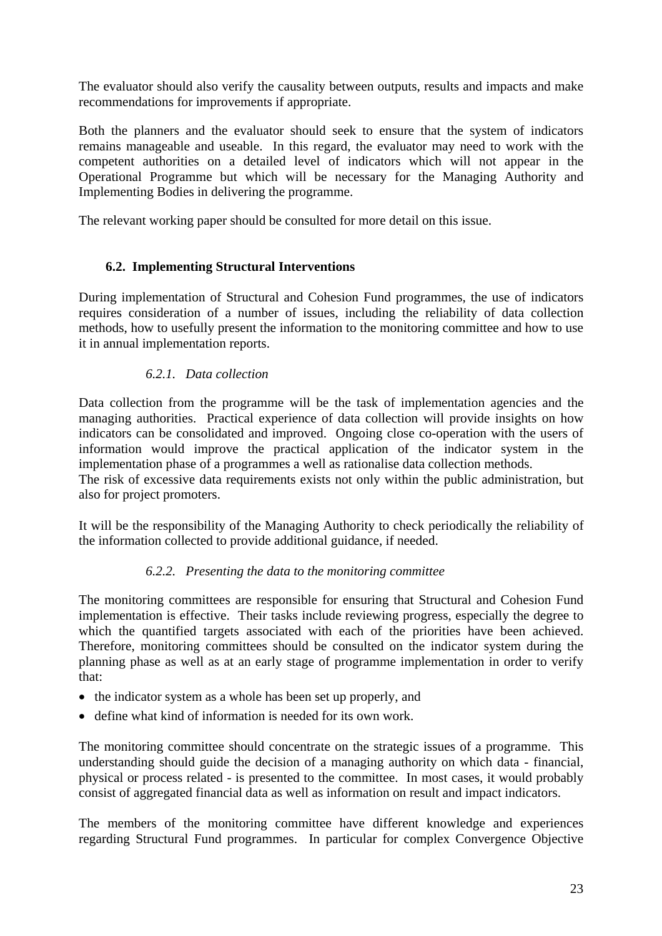The evaluator should also verify the causality between outputs, results and impacts and make recommendations for improvements if appropriate.

Both the planners and the evaluator should seek to ensure that the system of indicators remains manageable and useable. In this regard, the evaluator may need to work with the competent authorities on a detailed level of indicators which will not appear in the Operational Programme but which will be necessary for the Managing Authority and Implementing Bodies in delivering the programme.

<span id="page-22-0"></span>The relevant working paper should be consulted for more detail on this issue.

# **6.2. Implementing Structural Interventions**

During implementation of Structural and Cohesion Fund programmes, the use of indicators requires consideration of a number of issues, including the reliability of data collection methods, how to usefully present the information to the monitoring committee and how to use it in annual implementation reports.

## *6.2.1. Data collection*

<span id="page-22-1"></span>Data collection from the programme will be the task of implementation agencies and the managing authorities. Practical experience of data collection will provide insights on how indicators can be consolidated and improved. Ongoing close co-operation with the users of information would improve the practical application of the indicator system in the implementation phase of a programmes a well as rationalise data collection methods.

The risk of excessive data requirements exists not only within the public administration, but also for project promoters.

<span id="page-22-2"></span>It will be the responsibility of the Managing Authority to check periodically the reliability of the information collected to provide additional guidance, if needed.

## *6.2.2. Presenting the data to the monitoring committee*

The monitoring committees are responsible for ensuring that Structural and Cohesion Fund implementation is effective. Their tasks include reviewing progress, especially the degree to which the quantified targets associated with each of the priorities have been achieved. Therefore, monitoring committees should be consulted on the indicator system during the planning phase as well as at an early stage of programme implementation in order to verify that:

- the indicator system as a whole has been set up properly, and
- define what kind of information is needed for its own work.

The monitoring committee should concentrate on the strategic issues of a programme. This understanding should guide the decision of a managing authority on which data - financial, physical or process related - is presented to the committee. In most cases, it would probably consist of aggregated financial data as well as information on result and impact indicators.

The members of the monitoring committee have different knowledge and experiences regarding Structural Fund programmes. In particular for complex Convergence Objective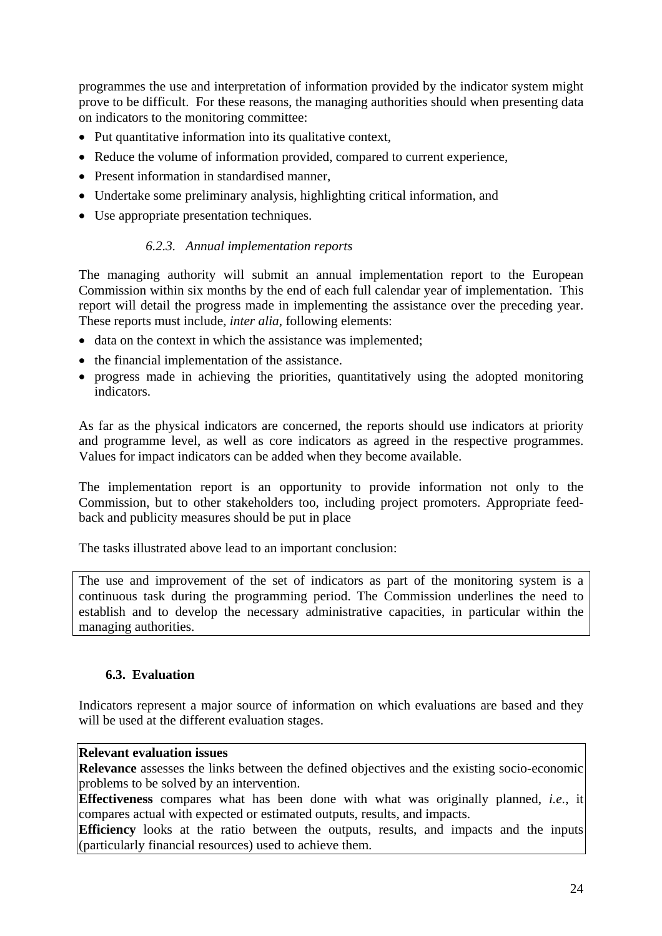programmes the use and interpretation of information provided by the indicator system might prove to be difficult. For these reasons, the managing authorities should when presenting data on indicators to the monitoring committee:

- Put quantitative information into its qualitative context,
- Reduce the volume of information provided, compared to current experience,
- Present information in standardised manner,
- Undertake some preliminary analysis, highlighting critical information, and
- <span id="page-23-0"></span>• Use appropriate presentation techniques.

# *6.2.3. Annual implementation reports*

The managing authority will submit an annual implementation report to the European Commission within six months by the end of each full calendar year of implementation. This report will detail the progress made in implementing the assistance over the preceding year. These reports must include, *inter alia*, following elements:

- data on the context in which the assistance was implemented;
- the financial implementation of the assistance.
- progress made in achieving the priorities, quantitatively using the adopted monitoring indicators.

As far as the physical indicators are concerned, the reports should use indicators at priority and programme level, as well as core indicators as agreed in the respective programmes. Values for impact indicators can be added when they become available.

The implementation report is an opportunity to provide information not only to the Commission, but to other stakeholders too, including project promoters. Appropriate feedback and publicity measures should be put in place

The tasks illustrated above lead to an important conclusion:

The use and improvement of the set of indicators as part of the monitoring system is a continuous task during the programming period. The Commission underlines the need to establish and to develop the necessary administrative capacities, in particular within the managing authorities.

## **6.3. Evaluation**

<span id="page-23-1"></span>Indicators represent a major source of information on which evaluations are based and they will be used at the different evaluation stages.

### **Relevant evaluation issues**

**Relevance** assesses the links between the defined objectives and the existing socio-economic problems to be solved by an intervention.

**Effectiveness** compares what has been done with what was originally planned, *i.e.*, it compares actual with expected or estimated outputs, results, and impacts.

**Efficiency** looks at the ratio between the outputs, results, and impacts and the inputs (particularly financial resources) used to achieve them.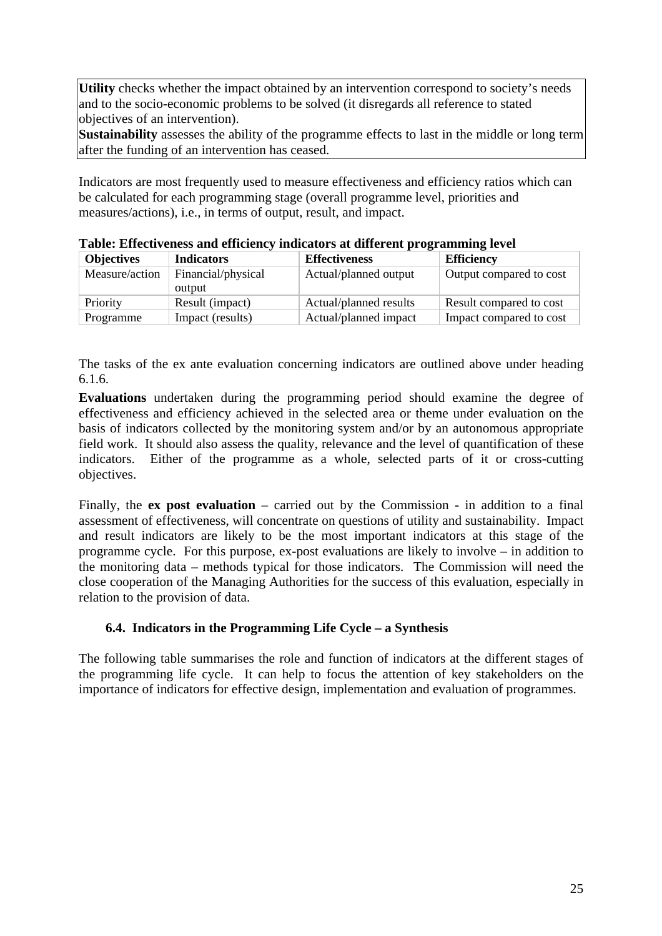Utility checks whether the impact obtained by an intervention correspond to society's needs and to the socio-economic problems to be solved (it disregards all reference to stated objectives of an intervention).

**Sustainability** assesses the ability of the programme effects to last in the middle or long term after the funding of an intervention has ceased.

Indicators are most frequently used to measure effectiveness and efficiency ratios which can be calculated for each programming stage (overall programme level, priorities and measures/actions), i.e., in terms of output, result, and impact.

| <b>Objectives</b> | <b>Indicators</b>            | <b>Effectiveness</b>   | <b>Efficiency</b>       |  |  |
|-------------------|------------------------------|------------------------|-------------------------|--|--|
| Measure/action    | Financial/physical<br>output | Actual/planned output  | Output compared to cost |  |  |
| Priority          | Result (impact)              | Actual/planned results | Result compared to cost |  |  |
| Programme         | Impact (results)             | Actual/planned impact  | Impact compared to cost |  |  |

**Table: Effectiveness and efficiency indicators at different programming level** 

The tasks of the ex ante evaluation concerning indicators are outlined above under heading 6.1.6.

**Evaluations** undertaken during the programming period should examine the degree of effectiveness and efficiency achieved in the selected area or theme under evaluation on the basis of indicators collected by the monitoring system and/or by an autonomous appropriate field work. It should also assess the quality, relevance and the level of quantification of these indicators. Either of the programme as a whole, selected parts of it or cross-cutting objectives.

Finally, the **ex post evaluation** – carried out by the Commission - in addition to a final assessment of effectiveness, will concentrate on questions of utility and sustainability. Impact and result indicators are likely to be the most important indicators at this stage of the programme cycle. For this purpose, ex-post evaluations are likely to involve – in addition to the monitoring data – methods typical for those indicators. The Commission will need the close cooperation of the Managing Authorities for the success of this evaluation, especially in relation to the provision of data.

## **6.4. Indicators in the Programming Life Cycle – a Synthesis**

<span id="page-24-0"></span>The following table summarises the role and function of indicators at the different stages of the programming life cycle. It can help to focus the attention of key stakeholders on the importance of indicators for effective design, implementation and evaluation of programmes.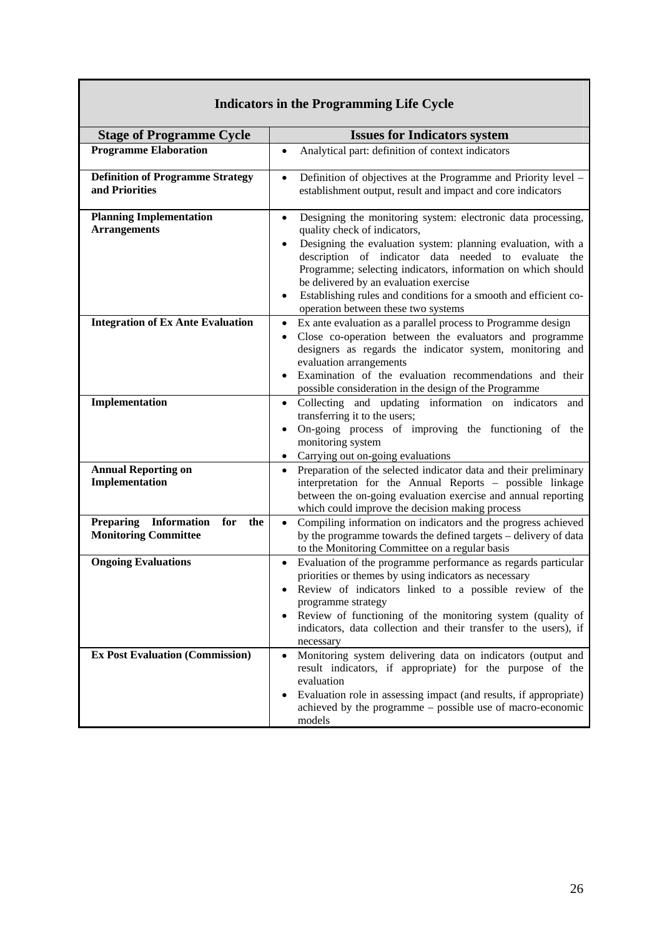| $\frac{1}{2}$                                                                       |                                                                                                                                                                                                                                                                                                                                                                                                                                                        |  |  |  |
|-------------------------------------------------------------------------------------|--------------------------------------------------------------------------------------------------------------------------------------------------------------------------------------------------------------------------------------------------------------------------------------------------------------------------------------------------------------------------------------------------------------------------------------------------------|--|--|--|
| <b>Stage of Programme Cycle</b>                                                     | <b>Issues for Indicators system</b>                                                                                                                                                                                                                                                                                                                                                                                                                    |  |  |  |
| <b>Programme Elaboration</b>                                                        | Analytical part: definition of context indicators<br>$\bullet$                                                                                                                                                                                                                                                                                                                                                                                         |  |  |  |
| <b>Definition of Programme Strategy</b><br>and Priorities                           | Definition of objectives at the Programme and Priority level -<br>$\bullet$<br>establishment output, result and impact and core indicators                                                                                                                                                                                                                                                                                                             |  |  |  |
| <b>Planning Implementation</b><br><b>Arrangements</b>                               | Designing the monitoring system: electronic data processing,<br>$\bullet$<br>quality check of indicators,<br>Designing the evaluation system: planning evaluation, with a<br>description of indicator data needed to evaluate the<br>Programme; selecting indicators, information on which should<br>be delivered by an evaluation exercise<br>Establishing rules and conditions for a smooth and efficient co-<br>operation between these two systems |  |  |  |
| <b>Integration of Ex Ante Evaluation</b>                                            | Ex ante evaluation as a parallel process to Programme design<br>$\bullet$<br>Close co-operation between the evaluators and programme<br>$\bullet$<br>designers as regards the indicator system, monitoring and<br>evaluation arrangements<br>Examination of the evaluation recommendations and their<br>possible consideration in the design of the Programme                                                                                          |  |  |  |
| Implementation                                                                      | Collecting and updating information on indicators<br>and<br>$\bullet$<br>transferring it to the users;<br>On-going process of improving the functioning of the<br>monitoring system<br>Carrying out on-going evaluations                                                                                                                                                                                                                               |  |  |  |
| <b>Annual Reporting on</b><br>Implementation                                        | Preparation of the selected indicator data and their preliminary<br>$\bullet$<br>interpretation for the Annual Reports - possible linkage<br>between the on-going evaluation exercise and annual reporting<br>which could improve the decision making process                                                                                                                                                                                          |  |  |  |
| <b>Preparing</b><br><b>Information</b><br>for<br>the<br><b>Monitoring Committee</b> | Compiling information on indicators and the progress achieved<br>$\bullet$<br>by the programme towards the defined targets - delivery of data<br>to the Monitoring Committee on a regular basis                                                                                                                                                                                                                                                        |  |  |  |
| <b>Ongoing Evaluations</b>                                                          | Evaluation of the programme performance as regards particular<br>$\bullet$<br>priorities or themes by using indicators as necessary<br>Review of indicators linked to a possible review of the<br>programme strategy<br>Review of functioning of the monitoring system (quality of<br>indicators, data collection and their transfer to the users), if<br>necessary                                                                                    |  |  |  |
| <b>Ex Post Evaluation (Commission)</b>                                              | Monitoring system delivering data on indicators (output and<br>$\bullet$<br>result indicators, if appropriate) for the purpose of the<br>evaluation<br>Evaluation role in assessing impact (and results, if appropriate)<br>achieved by the programme – possible use of macro-economic<br>models                                                                                                                                                       |  |  |  |

# **Indicators in the Programming Life Cycle**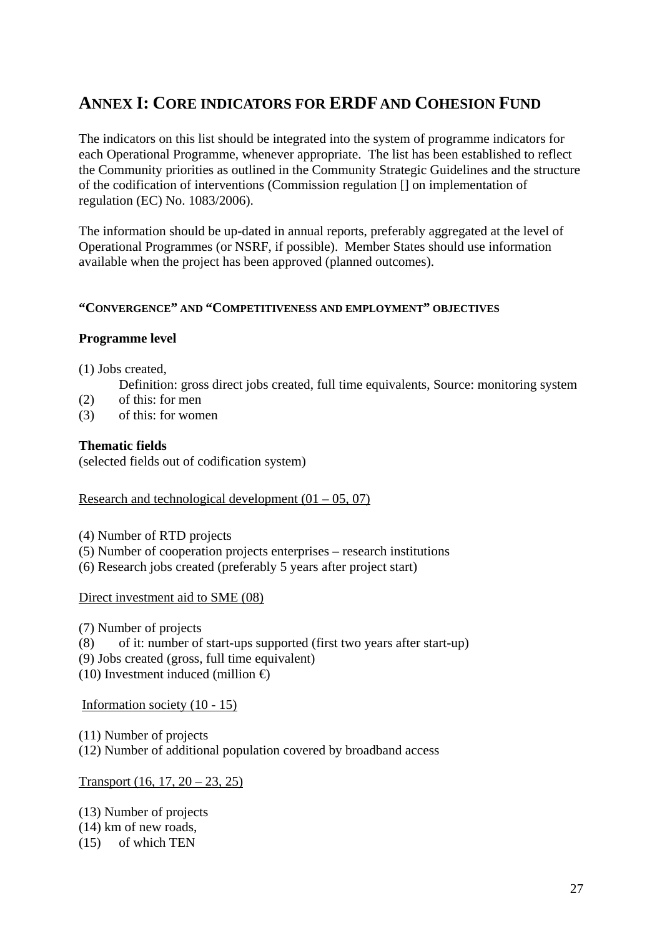# <span id="page-26-0"></span>**ANNEX I: CORE INDICATORS FOR ERDF AND COHESION FUND**

The indicators on this list should be integrated into the system of programme indicators for each Operational Programme, whenever appropriate. The list has been established to reflect the Community priorities as outlined in the Community Strategic Guidelines and the structure of the codification of interventions (Commission regulation [] on implementation of regulation (EC) No. 1083/2006).

The information should be up-dated in annual reports, preferably aggregated at the level of Operational Programmes (or NSRF, if possible). Member States should use information available when the project has been approved (planned outcomes).

#### **"CONVERGENCE" AND "COMPETITIVENESS AND EMPLOYMENT" OBJECTIVES**

#### **Programme level**

(1) Jobs created,

Definition: gross direct jobs created, full time equivalents, Source: monitoring system

- (2) of this: for men
- (3) of this: for women

#### **Thematic fields**

(selected fields out of codification system)

#### Research and technological development  $(01 - 05, 07)$

- (4) Number of RTD projects
- (5) Number of cooperation projects enterprises research institutions
- (6) Research jobs created (preferably 5 years after project start)

#### Direct investment aid to SME (08)

- (7) Number of projects
- (8) of it: number of start-ups supported (first two years after start-up)
- (9) Jobs created (gross, full time equivalent)
- (10) Investment induced (million  $\oplus$

Information society (10 - 15)

(11) Number of projects

(12) Number of additional population covered by broadband access

Transport (16, 17, 20 – 23, 25)

(13) Number of projects (14) km of new roads,

(15) of which TEN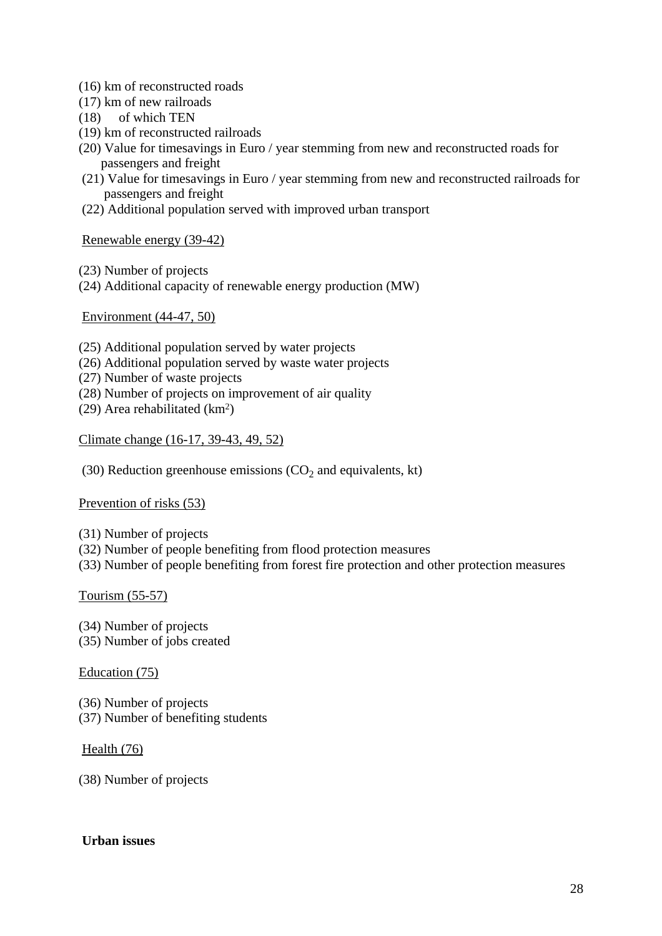- (16) km of reconstructed roads
- (17) km of new railroads
- (18) of which TEN
- (19) km of reconstructed railroads
- (20) Value for timesavings in Euro / year stemming from new and reconstructed roads for passengers and freight
- (21) Value for timesavings in Euro / year stemming from new and reconstructed railroads for passengers and freight
- (22) Additional population served with improved urban transport

Renewable energy (39-42)

- (23) Number of projects
- (24) Additional capacity of renewable energy production (MW)

Environment (44-47, 50)

- (25) Additional population served by water projects
- (26) Additional population served by waste water projects
- (27) Number of waste projects
- (28) Number of projects on improvement of air quality
- (29) Area rehabilitated (km2)

Climate change (16-17, 39-43, 49, 52)

(30) Reduction greenhouse emissions  $(CO<sub>2</sub>$  and equivalents, kt)

#### Prevention of risks (53)

(31) Number of projects

- (32) Number of people benefiting from flood protection measures
- (33) Number of people benefiting from forest fire protection and other protection measures

## Tourism (55-57)

(34) Number of projects (35) Number of jobs created

#### Education (75)

(36) Number of projects (37) Number of benefiting students

#### Health (76)

(38) Number of projects

#### **Urban issues**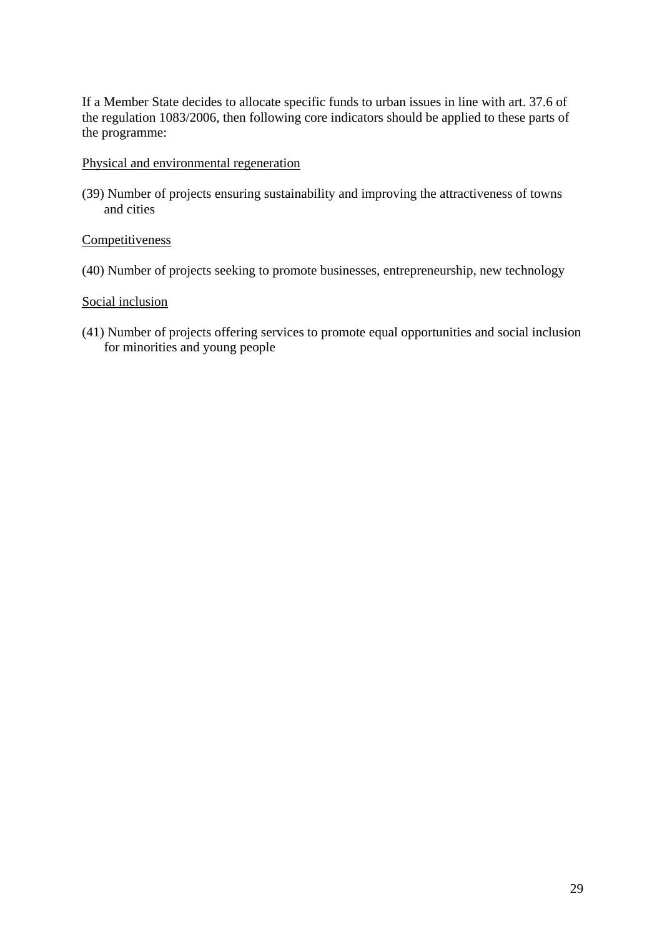If a Member State decides to allocate specific funds to urban issues in line with art. 37.6 of the regulation 1083/2006, then following core indicators should be applied to these parts of the programme:

#### Physical and environmental regeneration

(39) Number of projects ensuring sustainability and improving the attractiveness of towns and cities

## **Competitiveness**

(40) Number of projects seeking to promote businesses, entrepreneurship, new technology

#### Social inclusion

(41) Number of projects offering services to promote equal opportunities and social inclusion for minorities and young people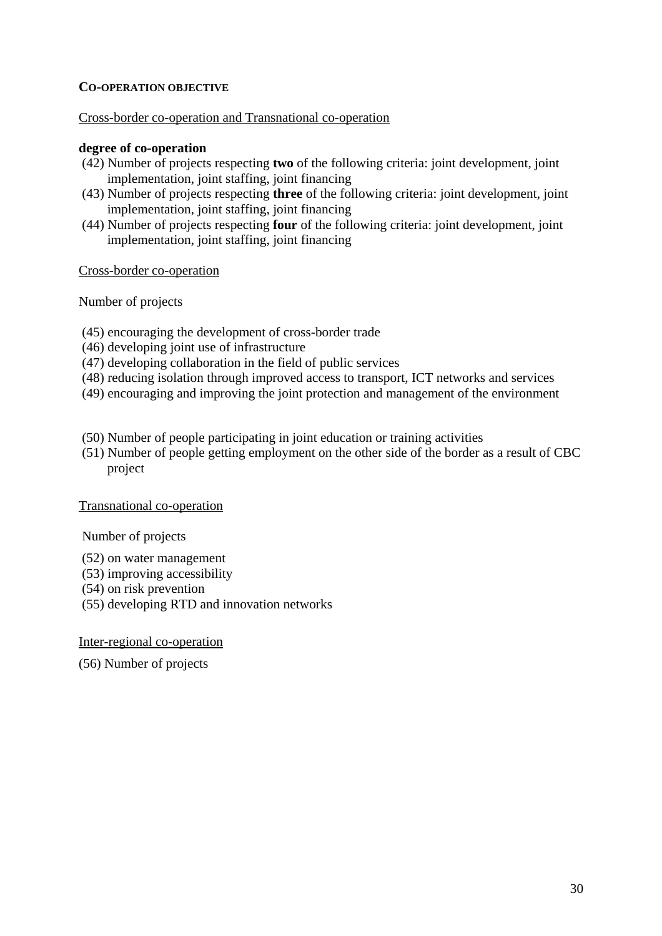## **CO-OPERATION OBJECTIVE**

#### Cross-border co-operation and Transnational co-operation

#### **degree of co-operation**

- (42) Number of projects respecting **two** of the following criteria: joint development, joint implementation, joint staffing, joint financing
- (43) Number of projects respecting **three** of the following criteria: joint development, joint implementation, joint staffing, joint financing
- (44) Number of projects respecting **four** of the following criteria: joint development, joint implementation, joint staffing, joint financing

Cross-border co-operation

Number of projects

- (45) encouraging the development of cross-border trade
- (46) developing joint use of infrastructure
- (47) developing collaboration in the field of public services
- (48) reducing isolation through improved access to transport, ICT networks and services
- (49) encouraging and improving the joint protection and management of the environment
- (50) Number of people participating in joint education or training activities
- (51) Number of people getting employment on the other side of the border as a result of CBC project

#### Transnational co-operation

Number of projects

- (52) on water management
- (53) improving accessibility
- (54) on risk prevention
- (55) developing RTD and innovation networks

Inter-regional co-operation

(56) Number of projects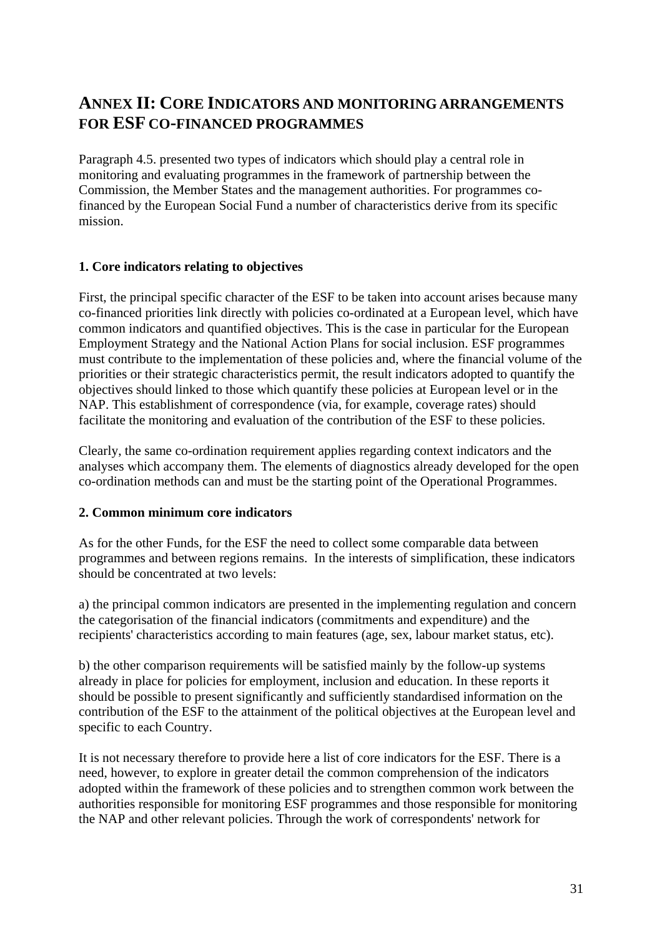# <span id="page-30-0"></span>**ANNEX II: CORE INDICATORS AND MONITORING ARRANGEMENTS FOR ESF CO-FINANCED PROGRAMMES**

Paragraph 4.5. presented two types of indicators which should play a central role in monitoring and evaluating programmes in the framework of partnership between the Commission, the Member States and the management authorities. For programmes cofinanced by the European Social Fund a number of characteristics derive from its specific mission.

## **1. Core indicators relating to objectives**

First, the principal specific character of the ESF to be taken into account arises because many co-financed priorities link directly with policies co-ordinated at a European level, which have common indicators and quantified objectives. This is the case in particular for the European Employment Strategy and the National Action Plans for social inclusion. ESF programmes must contribute to the implementation of these policies and, where the financial volume of the priorities or their strategic characteristics permit, the result indicators adopted to quantify the objectives should linked to those which quantify these policies at European level or in the NAP. This establishment of correspondence (via, for example, coverage rates) should facilitate the monitoring and evaluation of the contribution of the ESF to these policies.

Clearly, the same co-ordination requirement applies regarding context indicators and the analyses which accompany them. The elements of diagnostics already developed for the open co-ordination methods can and must be the starting point of the Operational Programmes.

## **2. Common minimum core indicators**

As for the other Funds, for the ESF the need to collect some comparable data between programmes and between regions remains. In the interests of simplification, these indicators should be concentrated at two levels:

a) the principal common indicators are presented in the implementing regulation and concern the categorisation of the financial indicators (commitments and expenditure) and the recipients' characteristics according to main features (age, sex, labour market status, etc).

b) the other comparison requirements will be satisfied mainly by the follow-up systems already in place for policies for employment, inclusion and education. In these reports it should be possible to present significantly and sufficiently standardised information on the contribution of the ESF to the attainment of the political objectives at the European level and specific to each Country.

It is not necessary therefore to provide here a list of core indicators for the ESF. There is a need, however, to explore in greater detail the common comprehension of the indicators adopted within the framework of these policies and to strengthen common work between the authorities responsible for monitoring ESF programmes and those responsible for monitoring the NAP and other relevant policies. Through the work of correspondents' network for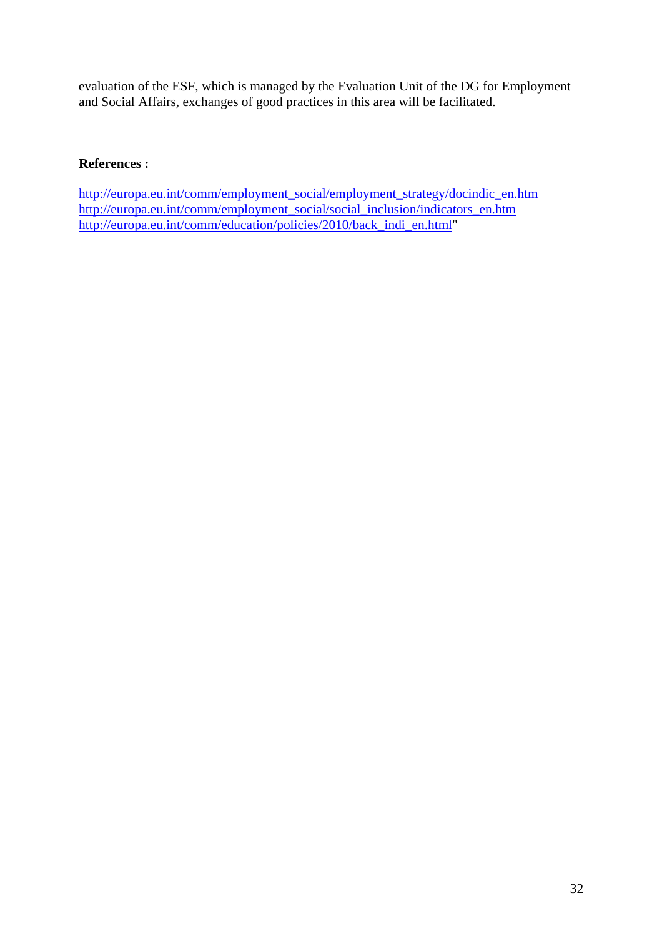evaluation of the ESF, which is managed by the Evaluation Unit of the DG for Employment and Social Affairs, exchanges of good practices in this area will be facilitated.

## **References :**

[http://europa.eu.int/comm/employment\\_social/employment\\_strategy/docindic\\_en.htm](http://europa.eu.int/comm/employment_social/employment_strategy/docindic_en.htm) [http://europa.eu.int/comm/employment\\_social/social\\_inclusion/indicators\\_en.htm](http://europa.eu.int/comm/employment_social/social_inclusion/indicators_en.htm) [http://europa.eu.int/comm/education/policies/2010/back\\_indi\\_en.html"](http://europa.eu.int/comm/education/policies/2010/back_indi_en.html)